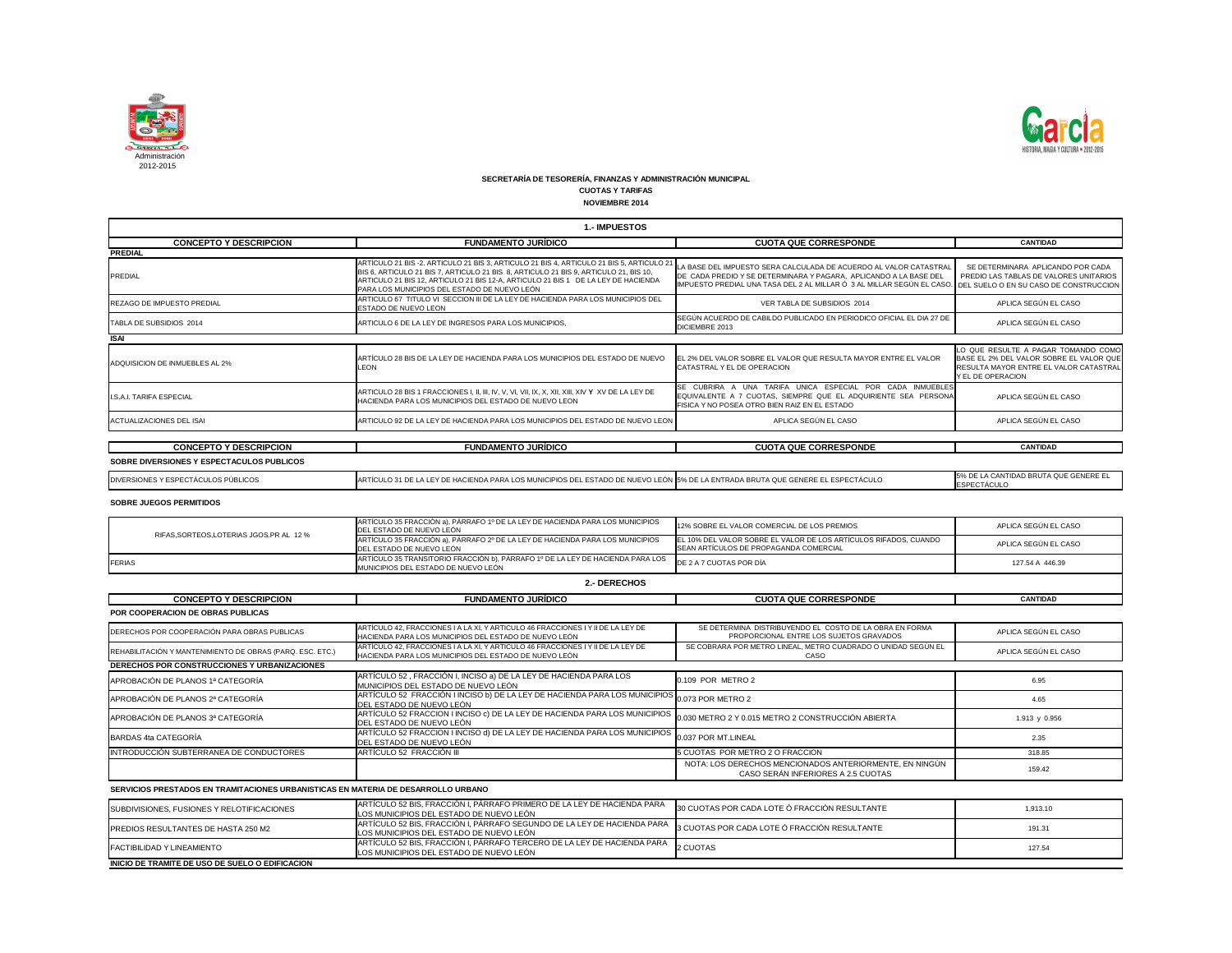

| 1.- IMPUESTOS                             |                                                                                                                                                                                                                                                                                                                       |                                                                                                                                                                                                                                                         |                                                                                                                                                |  |
|-------------------------------------------|-----------------------------------------------------------------------------------------------------------------------------------------------------------------------------------------------------------------------------------------------------------------------------------------------------------------------|---------------------------------------------------------------------------------------------------------------------------------------------------------------------------------------------------------------------------------------------------------|------------------------------------------------------------------------------------------------------------------------------------------------|--|
| <b>CONCEPTO Y DESCRIPCION</b>             | <b>FUNDAMENTO JURÍDICO</b>                                                                                                                                                                                                                                                                                            | <b>CUOTA QUE CORRESPONDE</b>                                                                                                                                                                                                                            | <b>CANTIDAD</b>                                                                                                                                |  |
| <b>PREDIAL</b>                            |                                                                                                                                                                                                                                                                                                                       |                                                                                                                                                                                                                                                         |                                                                                                                                                |  |
| PREDIAL                                   | ARTÍCULO 21 BIS -2. ARTICULO 21 BIS 3, ARTICULO 21 BIS 4, ARTICULO 21 BIS 5, ARTICULO 21<br>BIS 6, ARTICULO 21 BIS 7, ARTICULO 21 BIS 8, ARTICULO 21 BIS 9, ARTICULO 21, BIS 10,<br>ARTICULO 21 BIS 12, ARTICULO 21 BIS 12-A, ARTICULO 21 BIS 1 DE LA LEY DE HACIENDA<br>PARA LOS MUNICIPIOS DEL ESTADO DE NUEVO LEÓN | LA BASE DEL IMPUESTO SERA CALCULADA DE ACUERDO AL VALOR CATASTRAI<br>DE CADA PREDIO Y SE DETERMINARA Y PAGARA. APLICANDO A LA BASE DEL<br>IMPUESTO PREDIAL UNA TASA DEL 2 AL MILLAR Ó 3 AL MILLAR SEGÚN EL CASO. DEL SUELO O EN SU CASO DE CONSTRUCCION | SE DETERMINARA APLICANDO POR CADA<br>PREDIO LAS TABLAS DE VALORES UNITARIOS                                                                    |  |
| <b>REZAGO DE IMPUESTO PREDIAL</b>         | ARTICULO 67 TITULO VI SECCION III DE LA LEY DE HACIENDA PARA LOS MUNICIPIOS DEL<br>ESTADO DE NUEVO LEON                                                                                                                                                                                                               | VER TABLA DE SUBSIDIOS 2014                                                                                                                                                                                                                             | APLICA SEGÚN EL CASO                                                                                                                           |  |
| TABLA DE SUBSIDIOS 2014                   | ARTICULO 6 DE LA LEY DE INGRESOS PARA LOS MUNICIPIOS.                                                                                                                                                                                                                                                                 | SEGÚN ACUERDO DE CABILDO PUBLICADO EN PERIODICO OFICIAL EL DIA 27 DE<br>DICIEMBRE 2013                                                                                                                                                                  | APLICA SEGÚN EL CASO                                                                                                                           |  |
| <b>ISAI</b>                               |                                                                                                                                                                                                                                                                                                                       |                                                                                                                                                                                                                                                         |                                                                                                                                                |  |
| ADQUISICION DE INMUEBLES AL 2%            | ARTÍCULO 28 BIS DE LA LEY DE HACIENDA PARA LOS MUNICIPIOS DEL ESTADO DE NUEVO<br><b>LEON</b>                                                                                                                                                                                                                          | EL 2% DEL VALOR SOBRE EL VALOR QUE RESULTA MAYOR ENTRE EL VALOR<br>CATASTRAL Y EL DE OPERACION                                                                                                                                                          | LO QUE RESULTE A PAGAR TOMANDO COMO<br>BASE EL 2% DEL VALOR SOBRE EL VALOR QUE<br>RESULTA MAYOR ENTRE EL VALOR CATASTRAL<br>IY EL DE OPERACION |  |
| <b>I.S.A.I. TARIFA ESPECIAL</b>           | HACIENDA PARA LOS MUNICIPIOS DEL ESTADO DE NUEVO LEON                                                                                                                                                                                                                                                                 | SE CUBRIRA A UNA TARIFA UNICA ESPECIAL POR CADA INMUEBLES<br>EQUIVALENTE A 7 CUOTAS, SIEMPRE QUE EL ADQUIRIENTE SEA PERSONA<br>FISICA Y NO POSEA OTRO BIEN RAIZ EN EL ESTADO                                                                            | APLICA SEGÚN EL CASO                                                                                                                           |  |
| <b>ACTUALIZACIONES DEL ISAI</b>           | ARTICULO 92 DE LA LEY DE HACIENDA PARA LOS MUNICIPIOS DEL ESTADO DE NUEVO LEON                                                                                                                                                                                                                                        | APLICA SEGÚN EL CASO                                                                                                                                                                                                                                    | APLICA SEGÚN EL CASO                                                                                                                           |  |
|                                           |                                                                                                                                                                                                                                                                                                                       |                                                                                                                                                                                                                                                         |                                                                                                                                                |  |
| <b>CONCEPTO Y DESCRIPCION</b>             | <b>FUNDAMENTO JURÍDICO</b>                                                                                                                                                                                                                                                                                            | <b>CUOTA QUE CORRESPONDE</b>                                                                                                                                                                                                                            | <b>CANTIDAD</b>                                                                                                                                |  |
| SOBRE DIVERSIONES Y ESPECTACULOS PUBLICOS |                                                                                                                                                                                                                                                                                                                       |                                                                                                                                                                                                                                                         |                                                                                                                                                |  |
| DIVERSIONES Y ESPECTÁCULOS PÚBLICOS       | ARTÍCULO 31 DE LA LEY DE HACIENDA PARA LOS MUNICIPIOS DEL ESTADO DE NUEVO LEÓN 5% DE LA ENTRADA BRUTA QUE GENERE EL ESPECTÁCULO                                                                                                                                                                                       |                                                                                                                                                                                                                                                         | 5% DE LA CANTIDAD BRUTA QUE GENERE EL<br>ESPECTÁCULO                                                                                           |  |

| RIFAS.SORTEOS.LOTERIAS JGOS.PR AL 12 % | ARTÍCULO 35 FRACCIÓN a), PÁRRAFO 1º DE LA LEY DE HACIENDA PARA LOS MUNICIPIOS<br>DEL ESTADO DE NUEVO LEÓN                                     | 12% SOBRE EL VALOR COMERCIAL DE LOS PREMIOS                                                                 | APLICA SEGÚN EL CASO |
|----------------------------------------|-----------------------------------------------------------------------------------------------------------------------------------------------|-------------------------------------------------------------------------------------------------------------|----------------------|
|                                        | ARTÍCULO 35 FRACCIÓN a), PÁRRAFO 2º DE LA LEY DE HACIENDA PARA LOS MUNICIPIOS<br>DEL ESTADO DE NUEVO LEÓN                                     | LEL 10% DEL VALOR SOBRE EL VALOR DE LOS ARTÍCULOS RIFADOS. CUANDO<br>SEAN ARTICULOS DE PROPAGANDA COMERCIAL | APLICA SEGÚN EL CASO |
| <b>FERIAS</b>                          | ARTÍCULO 35 TRANSITORIO FRACCIÓN b), PÁRRAFO 1º DE LA LEY DE HACIENDA PARA LOS DE 2 A 7 CUOTAS POR DÍA<br>MUNICIPIOS DEL ESTADO DE NUEVO LEÓN |                                                                                                             | 127.54 A 446.39      |

| SUBDIVISIONES, FUSIONES Y RELOTIFICACIONES      | ARTÍCULO 52 BIS, FRACCIÓN I, PÁRRAFO PRIMERO DE LA LEY DE HACIENDA PARA<br>LOS MUNICIPIOS DEL ESTADO DE NUEVO LEÓN                                              | 30 CUOTAS POR CADA LOTE Ó FRACCIÓN RESULTANTE | 1,913.10 |
|-------------------------------------------------|-----------------------------------------------------------------------------------------------------------------------------------------------------------------|-----------------------------------------------|----------|
| PREDIOS RESULTANTES DE HASTA 250 M2             | ARTÍCULO 52 BIS, FRACCIÓN I, PÁRRAFO SEGUNDO DE LA LEY DE HACIENDA PARA 3 CUOTAS POR CADA LOTE Ó FRACCIÓN RESULTANTE<br>LOS MUNICIPIOS DEL ESTADO DE NUEVO LEÓN |                                               | 191.31   |
| FACTIBILIDAD Y LINEAMIENTO                      | ARTÍCULO 52 BIS, FRACCIÓN I, PÁRRAFO TERCERO DE LA LEY DE HACIENDA PARA<br>LOS MUNICIPIOS DEL ESTADO DE NUEVO LEÓN                                              | 2 CUOTAS                                      | 127.54   |
| INICIO DE TRAMITE DE USO DE SUELO O EDIFICACION |                                                                                                                                                                 |                                               |          |



**SERVICIOS PRESTADOS EN TRAMITACIONES URBANISTICAS EN MATERIA DE DESARROLLO URBANO**

| <b>CONCEPTO Y DESCRIPCION</b>                                                      | <b>FUNDAMENTO JURÍDICO</b>                                                                                                                                          | <b>CUOTA QUE CORRESPONDE</b>                                                                       | <b>CANTIDAD</b>      |
|------------------------------------------------------------------------------------|---------------------------------------------------------------------------------------------------------------------------------------------------------------------|----------------------------------------------------------------------------------------------------|----------------------|
| POR COOPERACION DE OBRAS PUBLICAS                                                  |                                                                                                                                                                     |                                                                                                    |                      |
| DERECHOS POR COOPERACIÓN PARA OBRAS PUBLICAS                                       | ARTÍCULO 42, FRACCIONES I A LA XI, Y ARTICULO 46 FRACCIONES I Y II DE LA LEY DE<br>HACIENDA PARA LOS MUNICIPIOS DEL ESTADO DE NUEVO LEÓN                            | SE DETERMINA DISTRIBUYENDO EL COSTO DE LA OBRA EN FORMA<br>PROPORCIONAL ENTRE LOS SUJETOS GRAVADOS | APLICA SEGÚN EL CASO |
| REHABILITACIÓN Y MANTENIMIENTO DE OBRAS (PARQ. ESC. ETC.)                          | ARTÍCULO 42, FRACCIONES I A LA XI, Y ARTICULO 46 FRACCIONES I Y II DE LA LEY DE<br>HACIENDA PARA LOS MUNICIPIOS DEL ESTADO DE NUEVO LEÓN                            | SE COBRARA POR METRO LINEAL, METRO CUADRADO O UNIDAD SEGÚN EL<br>APLICA SEGÚN EL CASO<br>CASO      |                      |
| DERECHOS POR CONSTRUCCIONES Y URBANIZACIONES                                       |                                                                                                                                                                     |                                                                                                    |                      |
| APROBACIÓN DE PLANOS 1ª CATEGORÍA                                                  | ARTÍCULO 52, FRACCIÓN I, INCISO a) DE LA LEY DE HACIENDA PARA LOS<br>MUNICIPIOS DEL ESTADO DE NUEVO LEÓN                                                            | 0.109 POR METRO 2                                                                                  | 6.95                 |
| APROBACIÓN DE PLANOS 2ª CATEGORÍA                                                  | ARTÍCULO 52 FRACCIÓN I INCISO b) DE LA LEY DE HACIENDA PARA LOS MUNICIPIOS 0.073 POR METRO 2<br>DEL ESTADO DE NUEVO LEÓN                                            |                                                                                                    | 4.65                 |
| APROBACIÓN DE PLANOS 3ª CATEGORÍA                                                  | ARTÍCULO 52 FRACCION I INCISO c) DE LA LEY DE HACIENDA PARA LOS MUNICIPIOS $\big _{0.030}$ METRO 2 Y 0.015 METRO 2 CONSTRUCCIÓN ABIERTA<br>DEL ESTADO DE NUEVO LEÓN |                                                                                                    | 1.913 y 0.956        |
| BARDAS 4ta CATEGORÍA                                                               | ARTÍCULO 52 FRACCION I INCISO d) DE LA LEY DE HACIENDA PARA LOS MUNICIPIOS <sub>0.037</sub> POR MT.LINEAL<br>DEL ESTADO DE NUEVO LEÓN                               |                                                                                                    | 2.35                 |
| INTRODUCCIÓN SUBTERRANEA DE CONDUCTORES                                            | ARTÍCULO 52 FRACCIÓN III                                                                                                                                            | 5 CUOTAS POR METRO 2 O FRACCION                                                                    | 318.85               |
|                                                                                    |                                                                                                                                                                     | NOTA: LOS DERECHOS MENCIONADOS ANTERIORMENTE, EN NINGÚN<br>CASO SERÁN INFERIORES A 2.5 CUOTAS      | 159.42               |
| AEBUIAIAA BREATARAA EN TRAMITAAIANEA URRANIATIAAA EN MATERIA BE BEAARRALLA URRANA. |                                                                                                                                                                     |                                                                                                    |                      |

## **SECRETARÍA DE TESORERÍA, FINANZAS Y ADMINISTRACIÓN MUNICIPAL**

**CUOTAS Y TARIFAS**

**NOVIEMBRE 2014**

**SOBRE JUEGOS PERMITIDOS**

| <b>2.- DERECHOS</b> |
|---------------------|
|---------------------|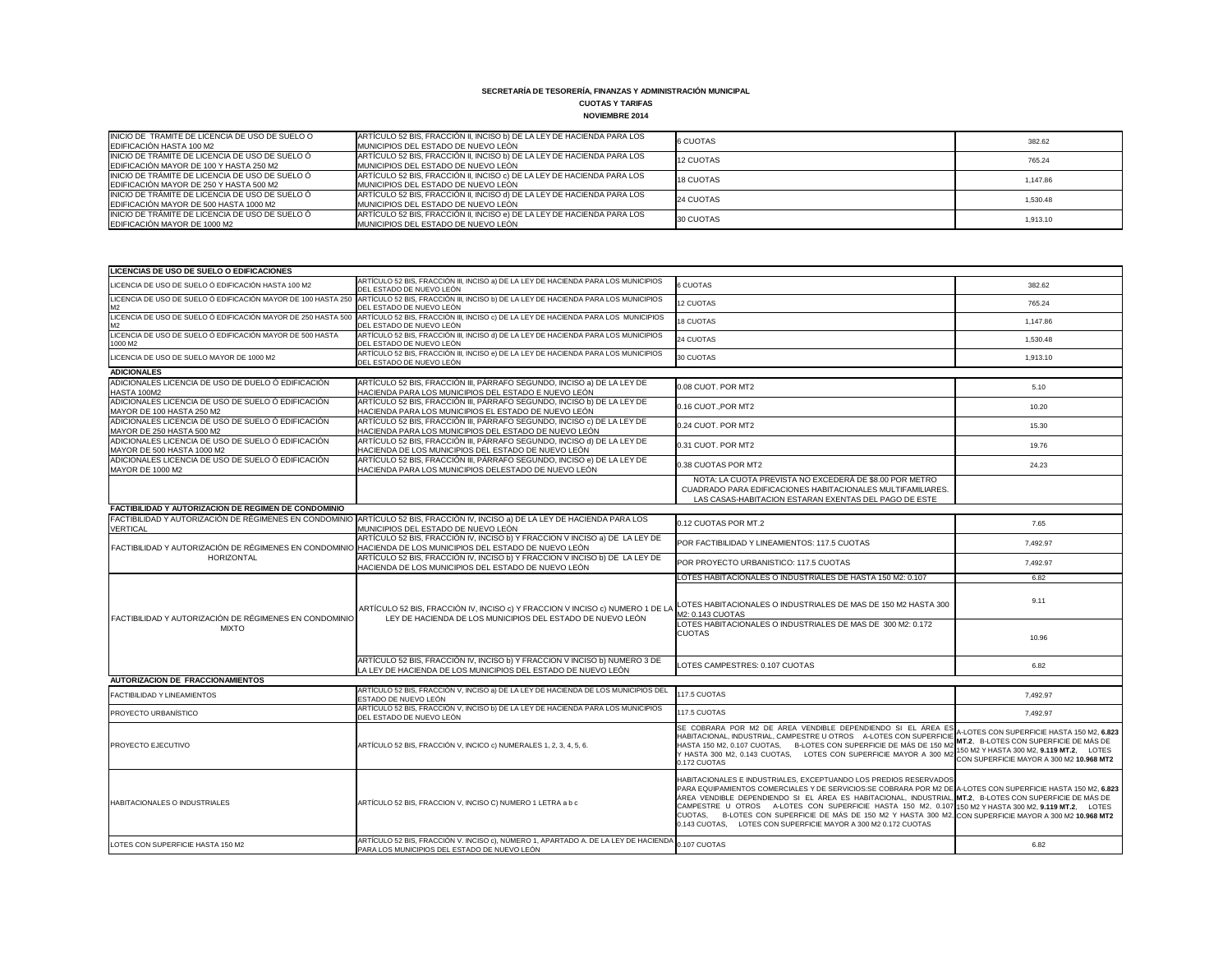## **CUOTAS Y TARIFAS**

| <b>NOVIEMBRE 2014</b> |
|-----------------------|
|-----------------------|

| INICIO DE TRAMITE DE LICENCIA DE USO DE SUELO O<br><b>EDIFICACIÓN HASTA 100 M2</b>                 | ARTÍCULO 52 BIS, FRACCIÓN II, INCISO b) DE LA LEY DE HACIENDA PARA LOS<br><b>IMUNICIPIOS DEL ESTADO DE NUEVO LEÓN</b> | 6 CUOTAS  | 382.62   |
|----------------------------------------------------------------------------------------------------|-----------------------------------------------------------------------------------------------------------------------|-----------|----------|
| INICIO DE TRÁMITE DE LICENCIA DE USO DE SUELO Ó<br><b>IEDIFICACIÓN MAYOR DE 100 Y HASTA 250 M2</b> | ARTÍCULO 52 BIS, FRACCIÓN II, INCISO b) DE LA LEY DE HACIENDA PARA LOS<br><b>IMUNICIPIOS DEL ESTADO DE NUEVO LEÓN</b> | 12 CUOTAS | 765.24   |
| INICIO DE TRÁMITE DE LICENCIA DE USO DE SUELO Ó<br>EDIFICACIÓN MAYOR DE 250 Y HASTA 500 M2         | ARTÍCULO 52 BIS, FRACCIÓN II, INCISO c) DE LA LEY DE HACIENDA PARA LOS<br><b>IMUNICIPIOS DEL ESTADO DE NUEVO LEÓN</b> | 18 CUOTAS | 1,147.86 |
| INICIO DE TRÁMITE DE LICENCIA DE USO DE SUELO Ó<br>EDIFICACIÓN MAYOR DE 500 HASTA 1000 M2          | ARTÍCULO 52 BIS, FRACCIÓN II, INCISO d) DE LA LEY DE HACIENDA PARA LOS<br>MUNICIPIOS DEL ESTADO DE NUEVO LEÓN         | 24 CUOTAS | 1.530.48 |
| INICIO DE TRÁMITE DE LICENCIA DE USO DE SUELO Ó<br>EDIFICACIÓN MAYOR DE 1000 M2                    | ARTÍCULO 52 BIS, FRACCIÓN II, INCISO e) DE LA LEY DE HACIENDA PARA LOS<br>MUNICIPIOS DEL ESTADO DE NUEVO LEÓN         | 30 CUOTAS | 1,913.10 |

| <b>LICENCIAS DE USO DE SUELO O EDIFICACIONES</b>                                 |                                                                                                                                             |                                                                                                                                                                                                                                                                                                                                                                                                                                                                                                                                                                                        |                                                                                                                                    |  |
|----------------------------------------------------------------------------------|---------------------------------------------------------------------------------------------------------------------------------------------|----------------------------------------------------------------------------------------------------------------------------------------------------------------------------------------------------------------------------------------------------------------------------------------------------------------------------------------------------------------------------------------------------------------------------------------------------------------------------------------------------------------------------------------------------------------------------------------|------------------------------------------------------------------------------------------------------------------------------------|--|
| LICENCIA DE USO DE SUELO Ó EDIFICACIÓN HASTA 100 M2                              | ARTÍCULO 52 BIS, FRACCIÓN III, INCISO a) DE LA LEY DE HACIENDA PARA LOS MUNICIPIOS<br>DEL ESTADO DE NUEVO LEÓN                              | <b>6 CUOTAS</b>                                                                                                                                                                                                                                                                                                                                                                                                                                                                                                                                                                        | 382.62                                                                                                                             |  |
| LICENCIA DE USO DE SUELO Ó EDIFICACIÓN MAYOR DE 100 HASTA 250<br>M <sub>2</sub>  | ARTÍCULO 52 BIS, FRACCIÓN III, INCISO b) DE LA LEY DE HACIENDA PARA LOS MUNICIPIOS<br>DEL ESTADO DE NUEVO LEÓN                              | 12 CUOTAS                                                                                                                                                                                                                                                                                                                                                                                                                                                                                                                                                                              | 765.24                                                                                                                             |  |
| LICENCIA DE USO DE SUELO Ó EDIFICACIÓN MAYOR DE 250 HASTA 500<br>M <sub>2</sub>  | ARTÍCULO 52 BIS, FRACCIÓN III, INCISO c) DE LA LEY DE HACIENDA PARA LOS MUNICIPIOS<br>DEL ESTADO DE NUEVO LEÓN                              | 18 CUOTAS                                                                                                                                                                                                                                                                                                                                                                                                                                                                                                                                                                              | 1,147.86                                                                                                                           |  |
| LICENCIA DE USO DE SUELO Ó EDIFICACIÓN MAYOR DE 500 HASTA<br>1000 M2             | ARTÍCULO 52 BIS, FRACCIÓN III, INCISO d) DE LA LEY DE HACIENDA PARA LOS MUNICIPIOS<br>DEL ESTADO DE NUEVO LEÓN                              | 24 CUOTAS                                                                                                                                                                                                                                                                                                                                                                                                                                                                                                                                                                              | 1,530.48                                                                                                                           |  |
| LICENCIA DE USO DE SUELO MAYOR DE 1000 M2                                        | ARTÍCULO 52 BIS, FRACCIÓN III, INCISO e) DE LA LEY DE HACIENDA PARA LOS MUNICIPIOS<br>DEL ESTADO DE NUEVO LEÓN                              | 30 CUOTAS                                                                                                                                                                                                                                                                                                                                                                                                                                                                                                                                                                              | 1,913.10                                                                                                                           |  |
| <b>ADICIONALES</b>                                                               |                                                                                                                                             |                                                                                                                                                                                                                                                                                                                                                                                                                                                                                                                                                                                        |                                                                                                                                    |  |
| ADICIONALES LICENCIA DE USO DE DUELO Ó EDIFICACIÓN<br>HASTA 100M2                | ARTÍCULO 52 BIS, FRACCIÓN III, PÁRRAFO SEGUNDO, INCISO a) DE LA LEY DE<br>HACIENDA PARA LOS MUNICIPIOS DEL ESTADO E NUEVO LEÓN              | 0.08 CUOT, POR MT2                                                                                                                                                                                                                                                                                                                                                                                                                                                                                                                                                                     | 5.10                                                                                                                               |  |
| ADICIONALES LICENCIA DE USO DE SUELO Ó EDIFICACIÓN<br>MAYOR DE 100 HASTA 250 M2  | ARTÍCULO 52 BIS, FRACCIÓN III, PÁRRAFO SEGUNDO, INCISO b) DE LA LEY DE<br>HACIENDA PARA LOS MUNICIPIOS EL ESTADO DE NUEVO LEÓN              | 0.16 CUOT., POR MT2                                                                                                                                                                                                                                                                                                                                                                                                                                                                                                                                                                    | 10.20                                                                                                                              |  |
| ADICIONALES LICENCIA DE USO DE SUELO Ó EDIFICACIÓN<br>MAYOR DE 250 HASTA 500 M2  | ARTÍCULO 52 BIS, FRACCIÓN III, PÁRRAFO SEGUNDO, INCISO c) DE LA LEY DE<br>HACIENDA PARA LOS MUNICIPIOS DEL ESTADO DE NUEVO LEÓN             | 0.24 CUOT. POR MT2                                                                                                                                                                                                                                                                                                                                                                                                                                                                                                                                                                     | 15.30                                                                                                                              |  |
| ADICIONALES LICENCIA DE USO DE SUELO Ó EDIFICACIÓN<br>MAYOR DE 500 HASTA 1000 M2 | ARTÍCULO 52 BIS, FRACCIÓN III, PÁRRAFO SEGUNDO, INCISO d) DE LA LEY DE<br>HACIENDA DE LOS MUNICIPIOS DEL ESTADO DE NUEVO LEÓN               | 0.31 CUOT. POR MT2                                                                                                                                                                                                                                                                                                                                                                                                                                                                                                                                                                     | 19.76                                                                                                                              |  |
| ADICIONALES LICENCIA DE USO DE SUELO Ó EDIFICACIÓN<br>MAYOR DE 1000 M2           | ARTÍCULO 52 BIS, FRACCIÓN III, PÁRRAFO SEGUNDO, INCISO e) DE LA LEY DE<br>HACIENDA PARA LOS MUNICIPIOS DELESTADO DE NUEVO LEÓN              | 0.38 CUOTAS POR MT2                                                                                                                                                                                                                                                                                                                                                                                                                                                                                                                                                                    | 24.23                                                                                                                              |  |
|                                                                                  |                                                                                                                                             | NOTA: LA CUOTA PREVISTA NO EXCEDERÁ DE \$8.00 POR METRO<br>CUADRADO PARA EDIFICACIONES HABITACIONALES MULTIFAMILIARES.<br>LAS CASAS-HABITACION ESTARAN EXENTAS DEL PAGO DE ESTE                                                                                                                                                                                                                                                                                                                                                                                                        |                                                                                                                                    |  |
| FACTIBILIDAD Y AUTORIZACION DE REGIMEN DE CONDOMINIO                             |                                                                                                                                             |                                                                                                                                                                                                                                                                                                                                                                                                                                                                                                                                                                                        |                                                                                                                                    |  |
| FACTIBILIDAD Y AUTORIZACIÓN DE RÉGIMENES EN CONDOMINIO<br><b>VERTICAL</b>        | ARTÍCULO 52 BIS, FRACCIÓN IV, INCISO a) DE LA LEY DE HACIENDA PARA LOS<br>MUNICIPIOS DEL ESTADO DE NUEVO LEÓN                               | 0.12 CUOTAS POR MT.2                                                                                                                                                                                                                                                                                                                                                                                                                                                                                                                                                                   | 7.65                                                                                                                               |  |
| FACTIBILIDAD Y AUTORIZACIÓN DE RÉGIMENES EN CONDOMINIO<br>HORIZONTAL             | ARTÍCULO 52 BIS, FRACCIÓN IV, INCISO b) Y FRACCION V INCISO a) DE LA LEY DE<br>HACIENDA DE LOS MUNICIPIOS DEL ESTADO DE NUEVO LEÓN          | POR FACTIBILIDAD Y LINEAMIENTOS: 117.5 CUOTAS                                                                                                                                                                                                                                                                                                                                                                                                                                                                                                                                          | 7,492.97                                                                                                                           |  |
|                                                                                  | ARTÍCULO 52 BIS, FRACCIÓN IV, INCISO b) Y FRACCION V INCISO b) DE LA LEY DE<br>HACIENDA DE LOS MUNICIPIOS DEL ESTADO DE NUEVO LEÓN          | POR PROYECTO URBANISTICO: 117.5 CUOTAS                                                                                                                                                                                                                                                                                                                                                                                                                                                                                                                                                 | 7,492.97                                                                                                                           |  |
|                                                                                  |                                                                                                                                             | LOTES HABITACIONALES O INDUSTRIALES DE HASTA 150 M2: 0.107                                                                                                                                                                                                                                                                                                                                                                                                                                                                                                                             | 6.82                                                                                                                               |  |
| FACTIBILIDAD Y AUTORIZACIÓN DE RÉGIMENES EN CONDOMINIO<br><b>MIXTO</b>           | ARTÍCULO 52 BIS, FRACCIÓN IV, INCISO c) Y FRACCION V INCISO c) NUMERO 1 DE LA<br>LEY DE HACIENDA DE LOS MUNICIPIOS DEL ESTADO DE NUEVO LEÓN | LOTES HABITACIONALES O INDUSTRIALES DE MAS DE 150 M2 HASTA 300<br>M2: 0.143 CUOTAS                                                                                                                                                                                                                                                                                                                                                                                                                                                                                                     | 9.11                                                                                                                               |  |
|                                                                                  |                                                                                                                                             | LOTES HABITACIONALES O INDUSTRIALES DE MAS DE 300 M2: 0.172<br><b>CUOTAS</b>                                                                                                                                                                                                                                                                                                                                                                                                                                                                                                           | 10.96                                                                                                                              |  |
|                                                                                  | ARTÍCULO 52 BIS, FRACCIÓN IV, INCISO b) Y FRACCION V INCISO b) NUMERO 3 DE<br>LA LEY DE HACIENDA DE LOS MUNICIPIOS DEL ESTADO DE NUEVO LEÓN | LOTES CAMPESTRES: 0.107 CUOTAS                                                                                                                                                                                                                                                                                                                                                                                                                                                                                                                                                         | 6.82                                                                                                                               |  |
| <b>AUTORIZACION DE FRACCIONAMIENTOS</b>                                          |                                                                                                                                             |                                                                                                                                                                                                                                                                                                                                                                                                                                                                                                                                                                                        |                                                                                                                                    |  |
| <b>FACTIBILIDAD Y LINEAMIENTOS</b>                                               | ARTÍCULO 52 BIS, FRACCIÓN V, INCISO a) DE LA LEY DE HACIENDA DE LOS MUNICIPIOS DEL<br>ESTADO DE NUEVO LEÓN                                  | 117.5 CUOTAS                                                                                                                                                                                                                                                                                                                                                                                                                                                                                                                                                                           | 7,492.97                                                                                                                           |  |
| <b>PROYECTO URBANÍSTICO</b>                                                      | ARTÍCULO 52 BIS, FRACCIÓN V, INCISO b) DE LA LEY DE HACIENDA PARA LOS MUNICIPIOS<br>DEL ESTADO DE NUEVO LEÓN                                | 117.5 CUOTAS                                                                                                                                                                                                                                                                                                                                                                                                                                                                                                                                                                           | 7,492.97                                                                                                                           |  |
| <b>PROYECTO EJECUTIVO</b>                                                        | ARTÍCULO 52 BIS, FRACCIÓN V, INCICO c) NUMERALES 1, 2, 3, 4, 5, 6.                                                                          | SE COBRARA POR M2 DE ÁREA VENDIBLE DEPENDIENDO SI EL ÁREA ES<br>HABITACIONAL, INDUSTRIAL, CAMPESTRE U OTROS A-LOTES CON SUPERFICIE TEXTERING CON SUPERFICIE DE MÁS DE<br>HASTA 150 M2, 0.107 CUOTAS, B-LOTES CON SUPERFICIE DE MÁS DE 150 M2<br>Y HASTA 300 M2, 0.143 CUOTAS, LOTES CON SUPERFICIE MAYOR A 300 M:<br>0.172 CUOTAS                                                                                                                                                                                                                                                      | A-LOTES CON SUPERFICIE HASTA 150 M2, 6.823<br>150 M2 Y HASTA 300 M2, 9.119 MT.2, LOTES<br>CON SUPERFICIE MAYOR A 300 M2 10.968 MT2 |  |
| <b>HABITACIONALES O INDUSTRIALES</b>                                             | ARTÍCULO 52 BIS, FRACCION V, INCISO C) NUMERO 1 LETRA a b c                                                                                 | HABITACIONALES E INDUSTRIALES, EXCEPTUANDO LOS PREDIOS RESERVADOS<br>PARA EQUIPAMIENTOS COMERCIALES Y DE SERVICIOS:SE COBRARA POR M2 DE A-LOTES CON SUPERFICIE HASTA 150 M2, 6.823<br>ÁREA VENDIBLE DEPENDIENDO SI EL ÁREA ES HABITACIONAL, INDUSTRIAL, INT.2, B-LOTES CON SUPERFICIE DE MÁS DE<br>CAMPESTRE U OTROS A-LOTES CON SUPERFICIE HASTA 150 M2, 0.107 150 M2 Y HASTA 300 M2, 9.119 MT.2, LOTES<br>CUOTAS, B-LOTES CON SUPERFICIE DE MÁS DE 150 M2 Y HASTA 300 M2, CON SUPERFICIE MAYOR A 300 M2 10.968 MT2<br>0.143 CUOTAS, LOTES CON SUPERFICIE MAYOR A 300 M2 0.172 CUOTAS |                                                                                                                                    |  |
| LOTES CON SUPERFICIE HASTA 150 M2                                                | ARTÍCULO 52 BIS, FRACCIÓN V. INCISO c), NÚMERO 1, APARTADO A. DE LA LEY DE HACIENDA<br>PARA LOS MUNICIPIOS DEL ESTADO DE NUEVO LEÓN         | 0.107 CUOTAS                                                                                                                                                                                                                                                                                                                                                                                                                                                                                                                                                                           | 6.82                                                                                                                               |  |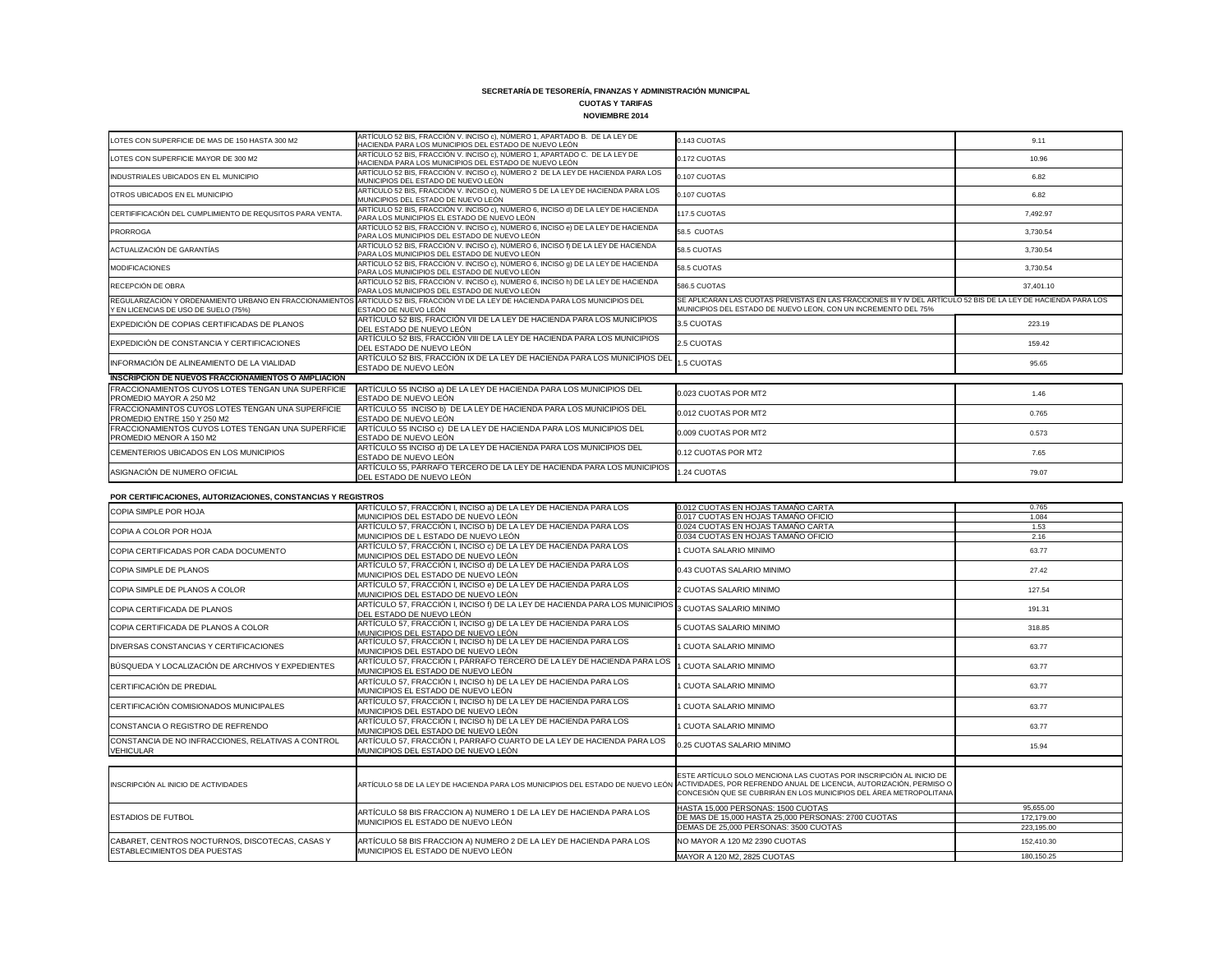# **CUOTAS Y TARIFAS**

| <b>NOVIEMBRE 2014</b> |  |
|-----------------------|--|
|                       |  |

| LOTES CON SUPERFICIE DE MAS DE 150 HASTA 300 M2                                  | ARTÍCULO 52 BIS, FRACCIÓN V. INCISO c), NÚMERO 1, APARTADO B. DE LA LEY DE<br>HACIENDA PARA LOS MUNICIPIOS DEL ESTADO DE NUEVO LEÓN                         | 0.143 CUOTAS                                                                                                                                                                      | 9.11      |
|----------------------------------------------------------------------------------|-------------------------------------------------------------------------------------------------------------------------------------------------------------|-----------------------------------------------------------------------------------------------------------------------------------------------------------------------------------|-----------|
| LOTES CON SUPERFICIE MAYOR DE 300 M2                                             | ARTÍCULO 52 BIS, FRACCIÓN V. INCISO c), NÚMERO 1, APARTADO C. DE LA LEY DE<br>HACIENDA PARA LOS MUNICIPIOS DEL ESTADO DE NUEVO LEÓN                         | 0.172 CUOTAS                                                                                                                                                                      | 10.96     |
| INDUSTRIALES UBICADOS EN EL MUNICIPIO                                            | ARTÍCULO 52 BIS, FRACCIÓN V. INCISO c), NÚMERO 2 DE LA LEY DE HACIENDA PARA LOS<br>MUNICIPIOS DEL ESTADO DE NUEVO LEÓN                                      | 0.107 CUOTAS                                                                                                                                                                      | 6.82      |
| OTROS UBICADOS EN EL MUNICIPIO                                                   | ARTÍCULO 52 BIS, FRACCIÓN V. INCISO c), NÚMERO 5 DE LA LEY DE HACIENDA PARA LOS<br>MUNICIPIOS DEL ESTADO DE NUEVO LEÓN                                      | 0.107 CUOTAS                                                                                                                                                                      | 6.82      |
| CERTIFIFICACIÓN DEL CUMPLIMIENTO DE REQUSITOS PARA VENTA.                        | ARTÍCULO 52 BIS, FRACCIÓN V. INCISO c), NÚMERO 6, INCISO d) DE LA LEY DE HACIENDA<br>PARA LOS MUNICIPIOS EL ESTADO DE NUEVO LEÓN                            | 117.5 CUOTAS                                                                                                                                                                      | 7,492.97  |
| PRORROGA                                                                         | ARTÍCULO 52 BIS, FRACCIÓN V. INCISO c), NÚMERO 6, INCISO e) DE LA LEY DE HACIENDA<br>PARA LOS MUNICIPIOS DEL ESTADO DE NUEVO LEÓN                           | 58.5 CUOTAS                                                                                                                                                                       | 3,730.54  |
| ACTUALIZACIÓN DE GARANTÍAS                                                       | ARTÍCULO 52 BIS, FRACCIÓN V. INCISO c), NÚMERO 6, INCISO f) DE LA LEY DE HACIENDA<br>PARA LOS MUNICIPIOS DEL ESTADO DE NUEVO LEÓN                           | 58.5 CUOTAS                                                                                                                                                                       | 3,730.54  |
| <b>MODIFICACIONES</b>                                                            | ARTÍCULO 52 BIS, FRACCIÓN V. INCISO c), NÚMERO 6, INCISO g) DE LA LEY DE HACIENDA<br>PARA LOS MUNICIPIOS DEL ESTADO DE NUEVO LEÓN                           | 58.5 CUOTAS                                                                                                                                                                       | 3,730.54  |
| RECEPCIÓN DE OBRA                                                                | ARTÍCULO 52 BIS, FRACCIÓN V. INCISO c), NÚMERO 6, INCISO h) DE LA LEY DE HACIENDA<br>PARA LOS MUNICIPIOS DEL ESTADO DE NUEVO LEÓN                           | 586.5 CUOTAS                                                                                                                                                                      | 37,401.10 |
| Y EN LICENCIAS DE USO DE SUELO (75%)                                             | REGULARIZACIÓN Y ORDENAMIENTO URBANO EN FRACCIONAMIENTOS ARTÍCULO 52 BIS, FRACCIÓN VI DE LA LEY DE HACIENDA PARA LOS MUNICIPIOS DEL<br>ESTADO DE NUEVO LEÓN | SE APLICARAN LAS CUOTAS PREVISTAS EN LAS FRACCIONES III Y IV DEL ARTÍCULO 52 BIS DE LA LEY DE HACIENDA PARA LOS<br>MUNICIPIOS DEL ESTADO DE NUEVO LEON, CON UN INCREMENTO DEL 75% |           |
| EXPEDICIÓN DE COPIAS CERTIFICADAS DE PLANOS                                      | ARTÍCULO 52 BIS, FRACCIÓN VII DE LA LEY DE HACIENDA PARA LOS MUNICIPIOS<br>DEL ESTADO DE NUEVO LEÓN                                                         | 3.5 CUOTAS                                                                                                                                                                        | 223.19    |
| EXPEDICIÓN DE CONSTANCIA Y CERTIFICACIONES                                       | ARTÍCULO 52 BIS, FRACCIÓN VIII DE LA LEY DE HACIENDA PARA LOS MUNICIPIOS<br>DEL ESTADO DE NUEVO LEÓN                                                        | 2.5 CUOTAS                                                                                                                                                                        | 159.42    |
| INFORMACIÓN DE ALINEAMIENTO DE LA VIALIDAD                                       | ARTÍCULO 52 BIS, FRACCIÓN IX DE LA LEY DE HACIENDA PARA LOS MUNICIPIOS DEL<br>ESTADO DE NUEVO LEÓN                                                          | 1.5 CUOTAS                                                                                                                                                                        | 95.65     |
| <b>INSCRIPCION DE NUEVOS FRACCIONAMIENTOS O AMPLIACION</b>                       |                                                                                                                                                             |                                                                                                                                                                                   |           |
| FRACCIONAMIENTOS CUYOS LOTES TENGAN UNA SUPERFICIE<br>PROMEDIO MAYOR A 250 M2    | ARTÍCULO 55 INCISO a) DE LA LEY DE HACIENDA PARA LOS MUNICIPIOS DEL<br>ESTADO DE NUEVO LEÓN                                                                 | 0.023 CUOTAS POR MT2                                                                                                                                                              | 1.46      |
| FRACCIONAMINTOS CUYOS LOTES TENGAN UNA SUPERFICIE<br>PROMEDIO ENTRE 150 Y 250 M2 | ARTÍCULO 55 INCISO b) DE LA LEY DE HACIENDA PARA LOS MUNICIPIOS DEL<br>ESTADO DE NUEVO LEÓN                                                                 | 0.012 CUOTAS POR MT2                                                                                                                                                              | 0.765     |
| FRACCIONAMIENTOS CUYOS LOTES TENGAN UNA SUPERFICIE<br>PROMEDIO MENOR A 150 M2    | ARTÍCULO 55 INCISO c) DE LA LEY DE HACIENDA PARA LOS MUNICIPIOS DEL<br>ESTADO DE NUEVO LEÓN                                                                 | 0.009 CUOTAS POR MT2                                                                                                                                                              | 0.573     |
| CEMENTERIOS UBICADOS EN LOS MUNICIPIOS                                           | ARTÍCULO 55 INCISO d) DE LA LEY DE HACIENDA PARA LOS MUNICIPIOS DEL<br>ESTADO DE NUEVO LEÓN                                                                 | 0.12 CUOTAS POR MT2                                                                                                                                                               | 7.65      |
| ASIGNACIÓN DE NUMERO OFICIAL                                                     | ARTÍCULO 55, PÁRRAFO TERCERO DE LA LEY DE HACIENDA PARA LOS MUNICIPIOS<br>DEL ESTADO DE NUEVO LEÓN                                                          | 1.24 CUOTAS                                                                                                                                                                       | 79.07     |
| POR CERTIFICACIONES, AUTORIZACIONES, CONSTANCIAS Y REGISTROS                     |                                                                                                                                                             |                                                                                                                                                                                   |           |
| COPIA SIMPLE POR HOJA                                                            | ARTÍCULO 57, FRACCIÓN I, INCISO a) DE LA LEY DE HACIENDA PARA LOS                                                                                           | 0.012 CUOTAS EN HOJAS TAMAÑO CARTA                                                                                                                                                | 0.765     |
|                                                                                  | MUNICIPIOS DEL ESTADO DE NUEVO LEÓN                                                                                                                         | 0.017 CUOTAS EN HOJAS TAMAÑO OFICIO                                                                                                                                               | 1.084     |
| COPIA A COLOR POR HOJA                                                           | ARTÍCULO 57, FRACCIÓN I, INCISO b) DE LA LEY DE HACIENDA PARA LOS                                                                                           | 0.024 CUOTAS EN HOJAS TAMAÑO CARTA                                                                                                                                                | 1.53      |
|                                                                                  | MUNICIPIOS DE L ESTADO DE NUEVO LEÓN<br>ARTÍCULO 57, FRACCIÓN I, INCISO c) DE LA LEY DE HACIENDA PARA LOS                                                   | 0.034 CUOTAS EN HOJAS TAMAÑO OFICIO                                                                                                                                               | 2.16      |
| COPIA CERTIFICADAS POR CADA DOCUMENTO                                            | MUNICIPIOS DEL ESTADO DE NUEVO LEÓN                                                                                                                         | I CUOTA SALARIO MINIMO                                                                                                                                                            | 63.77     |
| CODIA CIMPLE DE DI ANOC                                                          | ARTÍCULO 57, FRACCIÓN I, INCISO d) DE LA LEY DE HACIENDA PARA LOS                                                                                           | <b>ONUININ OIR DIA IAD SATOLIO CA O</b>                                                                                                                                           | 2742      |

| COPIA SIMPLE POR HOJA                                                           | ARTÍCULO 57, FRACCIÓN I, INCISO a) DE LA LEY DE HACIENDA PARA LOS                                                                                   | 0.012 CUOTAS EN HOJAS TAMAÑO CARTA                                                                                                        | 0.765      |
|---------------------------------------------------------------------------------|-----------------------------------------------------------------------------------------------------------------------------------------------------|-------------------------------------------------------------------------------------------------------------------------------------------|------------|
|                                                                                 | MUNICIPIOS DEL ESTADO DE NUEVO LEÓN                                                                                                                 | 0.017 CUOTAS EN HOJAS TAMAÑO OFICIO                                                                                                       | 1.084      |
| COPIA A COLOR POR HOJA                                                          | ARTÍCULO 57, FRACCIÓN I, INCISO b) DE LA LEY DE HACIENDA PARA LOS                                                                                   | 0.024 CUOTAS EN HOJAS TAMAÑO CARTA                                                                                                        | 1.53       |
|                                                                                 | MUNICIPIOS DE L ESTADO DE NUEVO LEÓN                                                                                                                | 0.034 CUOTAS EN HOJAS TAMAÑO OFICIO                                                                                                       | 2.16       |
| COPIA CERTIFICADAS POR CADA DOCUMENTO                                           | ARTÍCULO 57, FRACCIÓN I, INCISO c) DE LA LEY DE HACIENDA PARA LOS<br>MUNICIPIOS DEL ESTADO DE NUEVO LEÓN                                            | 1 CUOTA SALARIO MINIMO<br>63.77                                                                                                           |            |
| COPIA SIMPLE DE PLANOS                                                          | ARTÍCULO 57, FRACCIÓN I, INCISO d) DE LA LEY DE HACIENDA PARA LOS<br>MUNICIPIOS DEL ESTADO DE NUEVO LEÓN                                            | 0.43 CUOTAS SALARIO MINIMO                                                                                                                | 27.42      |
| COPIA SIMPLE DE PLANOS A COLOR                                                  | ARTÍCULO 57, FRACCIÓN I, INCISO e) DE LA LEY DE HACIENDA PARA LOS<br>MUNICIPIOS DEL ESTADO DE NUEVO LEÓN                                            | 2 CUOTAS SALARIO MINIMO                                                                                                                   | 127.54     |
| COPIA CERTIFICADA DE PLANOS                                                     | ARTÍCULO 57, FRACCIÓN I, INCISO f) DE LA LEY DE HACIENDA PARA LOS MUNICIPIO<br>DEL ESTADO DE NUEVO LEÓN                                             | 3 CUOTAS SALARIO MINIMO<br>191.31                                                                                                         |            |
| COPIA CERTIFICADA DE PLANOS A COLOR                                             | ARTÍCULO 57, FRACCIÓN I, INCISO 9) DE LA LEY DE HACIENDA PARA LOS<br>MUNICIPIOS DEL ESTADO DE NUEVO LEÓN                                            | 5 CUOTAS SALARIO MINIMO                                                                                                                   | 318.85     |
| <b>DIVERSAS CONSTANCIAS Y CERTIFICACIONES</b>                                   | ARTÍCULO 57, FRACCIÓN I, INCISO h) DE LA LEY DE HACIENDA PARA LOS<br>MUNICIPIOS DEL ESTADO DE NUEVO LEÓN                                            | 1 CUOTA SALARIO MINIMO                                                                                                                    | 63.77      |
| BÚSQUEDA Y LOCALIZACIÓN DE ARCHIVOS Y EXPEDIENTES                               | ARTÍCULO 57, FRACCIÓN I, PÁRRAFO TERCERO DE LA LEY DE HACIENDA PARA LOS<br>MUNICIPIOS EL ESTADO DE NUEVO LEÓN                                       | 1 CUOTA SALARIO MINIMO                                                                                                                    | 63.77      |
| CERTIFICACIÓN DE PREDIAL                                                        | ARTÍCULO 57, FRACCIÓN I, INCISO h) DE LA LEY DE HACIENDA PARA LOS<br>MUNICIPIOS EL ESTADO DE NUEVO LEÓN                                             | 1 CUOTA SALARIO MINIMO                                                                                                                    | 63.77      |
| CERTIFICACIÓN COMISIONADOS MUNICIPALES                                          | ARTÍCULO 57, FRACCIÓN I, INCISO h) DE LA LEY DE HACIENDA PARA LOS<br>MUNICIPIOS DEL ESTADO DE NUEVO LEÓN                                            | 1 CUOTA SALARIO MINIMO                                                                                                                    | 63.77      |
| CONSTANCIA O REGISTRO DE REFRENDO                                               | ARTÍCULO 57, FRACCIÓN I, INCISO h) DE LA LEY DE HACIENDA PARA LOS<br>MUNICIPIOS DEL ESTADO DE NUEVO LEÓN                                            | 1 CUOTA SALARIO MINIMO                                                                                                                    | 63.77      |
| CONSTANCIA DE NO INFRACCIONES, RELATIVAS A CONTROL<br><b>VEHICULAR</b>          | ARTÍCULO 57, FRACCIÓN I, PARRAFO CUARTO DE LA LEY DE HACIENDA PARA LOS<br>MUNICIPIOS DEL ESTADO DE NUEVO LEÓN                                       | 0.25 CUOTAS SALARIO MINIMO                                                                                                                | 15.94      |
|                                                                                 |                                                                                                                                                     |                                                                                                                                           |            |
| INSCRIPCIÓN AL INICIO DE ACTIVIDADES                                            | ARTÍCULO 58 DE LA LEY DE HACIENDA PARA LOS MUNICIPIOS DEL ESTADO DE NUEVO LEÓN ACTIVIDADES, POR REFRENDO ANUAL DE LICENCIA, AUTORIZACIÓN, PERMISO O | ESTE ARTÍCULO SOLO MENCIONA LAS CUOTAS POR INSCRIPCIÓN AL INICIO DE<br>CONCESIÓN QUE SE CUBRIRÁN EN LOS MUNICIPIOS DEL ÁREA METROPOLITANA |            |
|                                                                                 | ARTÍCULO 58 BIS FRACCION A) NUMERO 1 DE LA LEY DE HACIENDA PARA LOS<br>MUNICIPIOS EL ESTADO DE NUEVO LEÓN                                           | HASTA 15,000 PERSONAS: 1500 CUOTAS                                                                                                        | 95,655.00  |
| <b>ESTADIOS DE FUTBOL</b>                                                       |                                                                                                                                                     | DE MAS DE 15,000 HASTA 25,000 PERSONAS: 2700 CUOTAS                                                                                       | 172,179.00 |
|                                                                                 |                                                                                                                                                     | DEMAS DE 25,000 PERSONAS: 3500 CUOTAS                                                                                                     | 223,195.00 |
| CABARET, CENTROS NOCTURNOS, DISCOTECAS, CASAS Y<br>ESTABLECIMIENTOS DEA PUESTAS | ARTÍCULO 58 BIS FRACCION A) NUMERO 2 DE LA LEY DE HACIENDA PARA LOS<br>MUNICIPIOS EL ESTADO DE NUEVO LEÓN                                           | NO MAYOR A 120 M2 2390 CUOTAS                                                                                                             | 152,410.30 |
|                                                                                 |                                                                                                                                                     | MAYOR A 120 M2, 2825 CUOTAS                                                                                                               | 180,150.25 |
|                                                                                 |                                                                                                                                                     |                                                                                                                                           |            |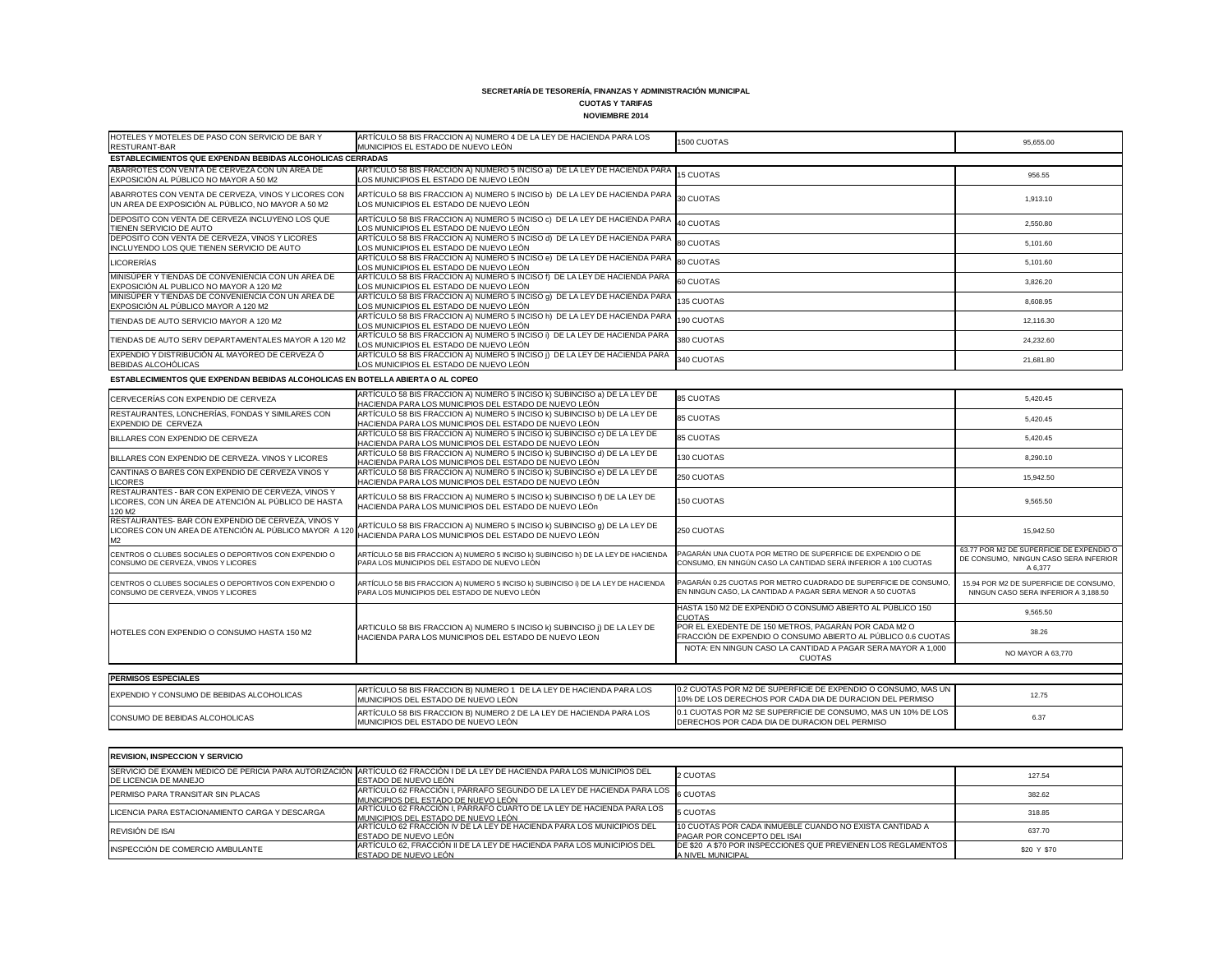## **CUOTAS Y TARIFAS**

| HOTELES Y MOTELES DE PASO CON SERVICIO DE BAR Y<br>RESTURANT-BAR                                          | ARTÍCULO 58 BIS FRACCION A) NUMERO 4 DE LA LEY DE HACIENDA PARA LOS<br>MUNICIPIOS EL ESTADO DE NUEVO LEÓN                                                            | 1500 CUOTAS | 95,655.00 |
|-----------------------------------------------------------------------------------------------------------|----------------------------------------------------------------------------------------------------------------------------------------------------------------------|-------------|-----------|
| <b>ESTABLECIMIENTOS QUE EXPENDAN BEBIDAS ALCOHOLICAS CERRADAS</b>                                         |                                                                                                                                                                      |             |           |
| ABARROTES CON VENTA DE CERVEZA CON UN AREA DE<br>EXPOSICIÓN AL PÚBLICO NO MAYOR A 50 M2                   | ARTÍCULO 58 BIS FRACCION A) NUMERO 5 INCISO a) DE LA LEY DE HACIENDA PARA 15 CUOTAS<br>LOS MUNICIPIOS EL ESTADO DE NUEVO LEÓN                                        |             | 956.55    |
| ABARROTES CON VENTA DE CERVEZA, VINOS Y LICORES CON<br>UN AREA DE EXPOSICIÓN AL PÚBLICO, NO MAYOR A 50 M2 | ARTÍCULO 58 BIS FRACCION A) NUMERO 5 INCISO b) DE LA LEY DE HACIENDA PARA $\mid_{30}$ CUOTAS<br>LOS MUNICIPIOS EL ESTADO DE NUEVO LEÓN                               |             | 1,913.10  |
| DEPOSITO CON VENTA DE CERVEZA INCLUYENO LOS QUE<br>TIENEN SERVICIO DE AUTO                                | $\overline{A}$ RTÍCULO 58 BIS FRACCION A) NUMERO 5 INCISO c) DE LA LEY DE HACIENDA PARA $\left _{40\text{ CUOTAS}}\right $<br>LOS MUNICIPIOS EL ESTADO DE NUEVO LEÓN |             | 2,550.80  |
| DEPOSITO CON VENTA DE CERVEZA, VINOS Y LICORES<br>INCLUYENDO LOS QUE TIENEN SERVICIO DE AUTO              | ARTÍCULO 58 BIS FRACCION A) NUMERO 5 INCISO d) DE LA LEY DE HACIENDA PARA 80 CUOTAS<br>LOS MUNICIPIOS EL ESTADO DE NUEVO LEÓN                                        |             | 5,101.60  |
| <b>LICORERÍAS</b>                                                                                         | ARTÍCULO 58 BIS FRACCION A) NUMERO 5 INCISO e) DE LA LEY DE HACIENDA PARA 80 CUOTAS<br>LOS MUNICIPIOS EL ESTADO DE NUEVO LEÓN                                        |             | 5,101.60  |
| MINISÚPER Y TIENDAS DE CONVENIENCIA CON UN AREA DE<br>EXPOSICIÓN AL PUBLICO NO MAYOR A 120 M2             | ARTÍCULO 58 BIS FRACCION A) NUMERO 5 INCISO f) DE LA LEY DE HACIENDA PARA<br>LOS MUNICIPIOS EL ESTADO DE NUEVO LEÓN                                                  | 60 CUOTAS   | 3,826.20  |
| MINISÚPER Y TIENDAS DE CONVENIENCIA CON UN AREA DE<br>EXPOSICIÓN AL PÚBLICO MAYOR A 120 M2                | ARTÍCULO 58 BIS FRACCION A) NUMERO 5 INCISO 9) DE LA LEY DE HACIENDA PARA 135 CUOTAS<br>LOS MUNICIPIOS EL ESTADO DE NUEVO LEÓN                                       |             | 8,608.95  |
| TIENDAS DE AUTO SERVICIO MAYOR A 120 M2                                                                   | ARTÍCULO 58 BIS FRACCION A) NUMERO 5 INCISO h) DE LA LEY DE HACIENDA PARA 190 CUOTAS<br>LOS MUNICIPIOS EL ESTADO DE NUEVO LEÓN                                       |             | 12,116.30 |
| TIENDAS DE AUTO SERV DEPARTAMENTALES MAYOR A 120 M2                                                       | ARTÍCULO 58 BIS FRACCION A) NUMERO 5 INCISO i) DE LA LEY DE HACIENDA PARA<br>LOS MUNICIPIOS EL ESTADO DE NUEVO LEÓN                                                  | 380 CUOTAS  | 24,232.60 |
| EXPENDIO Y DISTRIBUCIÓN AL MAYOREO DE CERVEZA Ó<br>BEBIDAS ALCOHÓLICAS                                    | ARTÍCULO 58 BIS FRACCION A) NUMERO 5 INCISO ¡) DE LA LEY DE HACIENDA PARA<br>LOS MUNICIPIOS EL ESTADO DE NUEVO LEÓN                                                  | 340 CUOTAS  | 21,681.80 |
| COTADI COIMICUTOO OUF EVOEUD AN DEDIDAO ALOQUOLIQAO EN DOTELLA ADIEDTA O AL OODEQ                         |                                                                                                                                                                      |             |           |

| CERVECERÍAS CON EXPENDIO DE CERVEZA                                                                                  | ARTÍCULO 58 BIS FRACCION A) NUMERO 5 INCISO k) SUBINCISO a) DE LA LEY DE<br>HACIENDA PARA LOS MUNICIPIOS DEL ESTADO DE NUEVO LEÓN | <b>85 CUOTAS</b>                                                                                                              | 5,420.45                                                                                     |
|----------------------------------------------------------------------------------------------------------------------|-----------------------------------------------------------------------------------------------------------------------------------|-------------------------------------------------------------------------------------------------------------------------------|----------------------------------------------------------------------------------------------|
| RESTAURANTES, LONCHERÍAS, FONDAS Y SIMILARES CON<br>EXPENDIO DE CERVEZA                                              | ARTÍCULO 58 BIS FRACCION A) NUMERO 5 INCISO k) SUBINCISO b) DE LA LEY DE<br>HACIENDA PARA LOS MUNICIPIOS DEL ESTADO DE NUEVO LEÓN | <b>85 CUOTAS</b>                                                                                                              | 5,420.45                                                                                     |
| BILLARES CON EXPENDIO DE CERVEZA                                                                                     | ARTÍCULO 58 BIS FRACCION A) NUMERO 5 INCISO k) SUBINCISO c) DE LA LEY DE<br>HACIENDA PARA LOS MUNICIPIOS DEL ESTADO DE NUEVO LEÓN | <b>85 CUOTAS</b>                                                                                                              | 5,420.45                                                                                     |
| BILLARES CON EXPENDIO DE CERVEZA. VINOS Y LICORES                                                                    | ARTÍCULO 58 BIS FRACCION A) NUMERO 5 INCISO k) SUBINCISO d) DE LA LEY DE<br>HACIENDA PARA LOS MUNICIPIOS DEL ESTADO DE NUEVO LEÓN | 130 CUOTAS                                                                                                                    | 8,290.10                                                                                     |
| CANTINAS O BARES CON EXPENDIO DE CERVEZA VINOS Y<br><b>LICORES</b>                                                   | ARTÍCULO 58 BIS FRACCION A) NUMERO 5 INCISO k) SUBINCISO e) DE LA LEY DE<br>HACIENDA PARA LOS MUNICIPIOS DEL ESTADO DE NUEVO LEÓN | 250 CUOTAS                                                                                                                    | 15,942.50                                                                                    |
| RESTAURANTES - BAR CON EXPENIO DE CERVEZA, VINOS Y<br>LICORES, CON UN ÁREA DE ATENCIÓN AL PÚBLICO DE HASTA<br>120 M2 | ARTÍCULO 58 BIS FRACCION A) NUMERO 5 INCISO k) SUBINCISO f) DE LA LEY DE<br>HACIENDA PARA LOS MUNICIPIOS DEL ESTADO DE NUEVO LEÓN | 150 CUOTAS                                                                                                                    | 9,565.50                                                                                     |
| RESTAURANTES- BAR CON EXPENDIO DE CERVEZA, VINOS Y<br>LICORES CON UN AREA DE ATENCIÓN AL PÚBLICO MAYOR A 120<br>M2   | ARTÍCULO 58 BIS FRACCION A) NUMERO 5 INCISO k) SUBINCISO g) DE LA LEY DE<br>HACIENDA PARA LOS MUNICIPIOS DEL ESTADO DE NUEVO LEÓN | 250 CUOTAS                                                                                                                    | 15,942.50                                                                                    |
| CENTROS O CLUBES SOCIALES O DEPORTIVOS CON EXPENDIO O<br>CONSUMO DE CERVEZA, VINOS Y LICORES                         | ARTÍCULO 58 BIS FRACCION A) NUMERO 5 INCISO k) SUBINCISO h) DE LA LEY DE HACIENDA<br>PARA LOS MUNICIPIOS DEL ESTADO DE NUEVO LEÓN | PAGARÁN UNA CUOTA POR METRO DE SUPERFICIE DE EXPENDIO O DE<br>CONSUMO, EN NINGÚN CASO LA CANTIDAD SERÁ INFERIOR A 100 CUOTAS  | 63.77 POR M2 DE SUPERFICIE DE EXPENDIO O<br>DE CONSUMO, NINGUN CASO SERA INFERIOR<br>A 6,377 |
| CENTROS O CLUBES SOCIALES O DEPORTIVOS CON EXPENDIO O<br>CONSUMO DE CERVEZA, VINOS Y LICORES                         | ARTÍCULO 58 BIS FRACCION A) NUMERO 5 INCISO k) SUBINCISO i) DE LA LEY DE HACIENDA<br>PARA LOS MUNICIPIOS DEL ESTADO DE NUEVO LEÓN | PAGARÁN 0.25 CUOTAS POR METRO CUADRADO DE SUPERFICIE DE CONSUMO<br>EN NINGUN CASO, LA CANTIDAD A PAGAR SERA MENOR A 50 CUOTAS | 15.94 POR M2 DE SUPERFICIE DE CONSUMO.<br>NINGUN CASO SERA INFERIOR A 3.188.50               |
|                                                                                                                      |                                                                                                                                   | HASTA 150 M2 DE EXPENDIO O CONSUMO ABIERTO AL PÚBLICO 150<br><b>CUOTAS</b>                                                    | 9,565.50                                                                                     |
| HOTELES CON EXPENDIO O CONSUMO HASTA 150 M2                                                                          | ARTICULO 58 BIS FRACCION A) NUMERO 5 INCISO k) SUBINCISO ¡) DE LA LEY DE<br>HACIENDA PARA LOS MUNICIPIOS DEL ESTADO DE NUEVO LEON | POR EL EXEDENTE DE 150 METROS, PAGARÁN POR CADA M2 O<br>FRACCIÓN DE EXPENDIO O CONSUMO ABIERTO AL PÚBLICO 0.6 CUOTAS          | 38.26                                                                                        |
|                                                                                                                      |                                                                                                                                   | NOTA: EN NINGUN CASO LA CANTIDAD A PAGAR SERA MAYOR A 1,000<br><b>CUOTAS</b>                                                  | NO MAYOR A 63,770                                                                            |
|                                                                                                                      |                                                                                                                                   |                                                                                                                               |                                                                                              |
| <b>PERMISOS ESPECIALES</b>                                                                                           |                                                                                                                                   |                                                                                                                               |                                                                                              |
| EXPENDIO Y CONSUMO DE BEBIDAS ALCOHOLICAS                                                                            | ARTÍCULO 58 BIS FRACCION B) NUMERO 1 DE LA LEY DE HACIENDA PARA LOS<br>MUNICIPIOS DEL ESTADO DE NUEVO LEÓN                        | 0.2 CUOTAS POR M2 DE SUPERFICIE DE EXPENDIO O CONSUMO, MAS UN<br>10% DE LOS DERECHOS POR CADA DIA DE DURACION DEL PERMISO     | 12.75                                                                                        |
| CONSUMO DE BEBIDAS ALCOHOLICAS                                                                                       | ARTÍCULO 58 BIS FRACCION B) NUMERO 2 DE LA LEY DE HACIENDA PARA LOS<br>MUNICIPIOS DEL ESTADO DE NUEVO LEÓN                        | 0.1 CUOTAS POR M2 SE SUPERFICIE DE CONSUMO, MAS UN 10% DE LOS<br>DERECHOS POR CADA DIA DE DURACION DEL PERMISO                | 6.37                                                                                         |

| CERVECERÍAS CON EXPENDIO DE CERVEZA                                                                                              | ARTÍCULO 58 BIS FRACCION A) NUMERO 5 INCISO K) SUBINCISO a) DE LA LEY DE<br>HACIENDA PARA LOS MUNICIPIOS DEL ESTADO DE NUEVO LEÓN | <b>85 CUOTAS</b>                                                                                                               | 5,420.45                                                                                     |
|----------------------------------------------------------------------------------------------------------------------------------|-----------------------------------------------------------------------------------------------------------------------------------|--------------------------------------------------------------------------------------------------------------------------------|----------------------------------------------------------------------------------------------|
| RESTAURANTES, LONCHERÍAS, FONDAS Y SIMILARES CON<br>EXPENDIO DE CERVEZA                                                          | ARTÍCULO 58 BIS FRACCION A) NUMERO 5 INCISO K) SUBINCISO b) DE LA LEY DE<br>HACIENDA PARA LOS MUNICIPIOS DEL ESTADO DE NUEVO LEÓN | <b>85 CUOTAS</b>                                                                                                               | 5.420.45                                                                                     |
| BILLARES CON EXPENDIO DE CERVEZA                                                                                                 | ARTÍCULO 58 BIS FRACCION A) NUMERO 5 INCISO k) SUBINCISO c) DE LA LEY DE<br>HACIENDA PARA LOS MUNICIPIOS DEL ESTADO DE NUEVO LEÓN | <b>85 CUOTAS</b>                                                                                                               | 5,420.45                                                                                     |
| BILLARES CON EXPENDIO DE CERVEZA. VINOS Y LICORES                                                                                | ARTÍCULO 58 BIS FRACCION A) NUMERO 5 INCISO k) SUBINCISO d) DE LA LEY DE<br>HACIENDA PARA LOS MUNICIPIOS DEL ESTADO DE NUEVO LEÓN | 130 CUOTAS                                                                                                                     | 8,290.10                                                                                     |
| CANTINAS O BARES CON EXPENDIO DE CERVEZA VINOS Y<br><b>LICORES</b>                                                               | ARTÍCULO 58 BIS FRACCION A) NUMERO 5 INCISO k) SUBINCISO e) DE LA LEY DE<br>HACIENDA PARA LOS MUNICIPIOS DEL ESTADO DE NUEVO LEÓN | 250 CUOTAS                                                                                                                     | 15,942.50                                                                                    |
| RESTAURANTES - BAR CON EXPENIO DE CERVEZA, VINOS Y<br>LICORES, CON UN ÁREA DE ATENCIÓN AL PÚBLICO DE HASTA<br>120 M <sub>2</sub> | ARTÍCULO 58 BIS FRACCION A) NUMERO 5 INCISO K) SUBINCISO f) DE LA LEY DE<br>HACIENDA PARA LOS MUNICIPIOS DEL ESTADO DE NUEVO LEÓN | 150 CUOTAS                                                                                                                     | 9,565.50                                                                                     |
| RESTAURANTES- BAR CON EXPENDIO DE CERVEZA, VINOS Y<br>LICORES CON UN AREA DE ATENCIÓN AL PÚBLICO MAYOR A 120                     | ARTÍCULO 58 BIS FRACCION A) NUMERO 5 INCISO k) SUBINCISO g) DE LA LEY DE<br>HACIENDA PARA LOS MUNICIPIOS DEL ESTADO DE NUEVO LEÓN | 250 CUOTAS                                                                                                                     | 15.942.50                                                                                    |
| CENTROS O CLUBES SOCIALES O DEPORTIVOS CON EXPENDIO O<br>CONSUMO DE CERVEZA, VINOS Y LICORES                                     | ARTÍCULO 58 BIS FRACCION A) NUMERO 5 INCISO k) SUBINCISO h) DE LA LEY DE HACIENDA<br>PARA LOS MUNICIPIOS DEL ESTADO DE NUEVO LEÓN | PAGARÁN UNA CUOTA POR METRO DE SUPERFICIE DE EXPENDIO O DE<br>CONSUMO, EN NINGÚN CASO LA CANTIDAD SERÁ INFERIOR A 100 CUOTAS   | 63.77 POR M2 DE SUPERFICIE DE EXPENDIO O<br>DE CONSUMO, NINGUN CASO SERA INFERIOR<br>A 6.377 |
| ICENTROS O CLUBES SOCIALES O DEPORTIVOS CON EXPENDIO O<br>CONSUMO DE CERVEZA, VINOS Y LICORES                                    | ARTÍCULO 58 BIS FRACCION A) NUMERO 5 INCISO k) SUBINCISO i) DE LA LEY DE HACIENDA<br>PARA LOS MUNICIPIOS DEL ESTADO DE NUEVO LEÓN | PAGARÁN 0.25 CUOTAS POR METRO CUADRADO DE SUPERFICIE DE CONSUMO.<br>EN NINGUN CASO, LA CANTIDAD A PAGAR SERA MENOR A 50 CUOTAS | 15.94 POR M2 DE SUPERFICIE DE CONSUMO.<br>NINGUN CASO SERA INFERIOR A 3,188.50               |
|                                                                                                                                  |                                                                                                                                   | HASTA 150 M2 DE EXPENDIO O CONSUMO ABIERTO AL PÚBLICO 150<br><b>CUOTAS</b>                                                     | 9.565.50                                                                                     |
| <b>IHOTELES CON EXPENDIO O CONSUMO HASTA 150 M2</b>                                                                              | ARTICULO 58 BIS FRACCION A) NUMERO 5 INCISO k) SUBINCISO ¡) DE LA LEY DE<br>HACIENDA PARA LOS MUNICIPIOS DEL ESTADO DE NUEVO LEON | POR EL EXEDENTE DE 150 METROS, PAGARÁN POR CADA M2 O<br>FRACCIÓN DE EXPENDIO O CONSUMO ABIERTO AL PÚBLICO 0.6 CUOTAS           | 38.26                                                                                        |
|                                                                                                                                  |                                                                                                                                   | NOTA: EN NINGUN CASO LA CANTIDAD A PAGAR SERA MAYOR A 1,000<br><b>CUOTAS</b>                                                   | NO MAYOR A 63,770                                                                            |
| <b>PERMISOS ESPECIALES</b>                                                                                                       |                                                                                                                                   |                                                                                                                                |                                                                                              |
|                                                                                                                                  | ARTÍCULO 58 BIS FRACCION B) NUMERO 1 DE LA LEY DE HACIENDA PARA LOS                                                               | 0.2 CUOTAS POR M2 DE SUPERFICIE DE EXPENDIO O CONSUMO, MAS UN                                                                  |                                                                                              |
| EXPENDIO Y CONSUMO DE BEBIDAS ALCOHOLICAS                                                                                        | MUNICIPIOS DEL ESTADO DE NUEVO LEÓN                                                                                               | 10% DE LOS DERECHOS POR CADA DIA DE DURACION DEL PERMISO                                                                       | 12.75                                                                                        |
| CONSUMO DE BEBIDAS ALCOHOLICAS                                                                                                   | ARTÍCULO 58 BIS FRACCION B) NUMERO 2 DE LA LEY DE HACIENDA PARA LOS<br>MUNICIPIOS DEL ESTADO DE NUEVO LEÓN                        | 0.1 CUOTAS POR M2 SE SUPERFICIE DE CONSUMO, MAS UN 10% DE LOS<br>DERECHOS POR CADA DIA DE DURACION DEL PERMISO                 | 6.37                                                                                         |

| <b>REVISION, INSPECCION Y SERVICIO</b>         |                                                                                                                                                             |                                                                                               |             |
|------------------------------------------------|-------------------------------------------------------------------------------------------------------------------------------------------------------------|-----------------------------------------------------------------------------------------------|-------------|
| <b>IDE LICENCIA DE MANEJO</b>                  | SERVICIO DE EXAMEN MEDICO DE PERICIA PARA AUTORIZACIÓN ARTÍCULO 62 FRACCIÓN I DE LA LEY DE HACIENDA PARA LOS MUNICIPIOS DEL<br><b>IESTADO DE NUEVO LEÓN</b> | 2 CUOTAS                                                                                      | 127.54      |
| <b>IPERMISO PARA TRANSITAR SIN PLACAS</b>      | ARTÍCULO 62 FRACCIÓN I, PÁRRAFO SEGUNDO DE LA LEY DE HACIENDA PARA LOS 6 CUOTAS<br>MUNICIPIOS DEL ESTADO DE NUEVO LEÓN                                      |                                                                                               | 382.62      |
| LICENCIA PARA ESTACIONAMIENTO CARGA Y DESCARGA | ARTÍCULO 62 FRACCIÓN I, PÁRRAFO CUARTO DE LA LEY DE HACIENDA PARA LOS<br>MUNICIPIOS DEL ESTADO DE NUEVO LEÓN                                                | <b>5 CUOTAS</b>                                                                               | 318.85      |
| REVISIÓN DE ISAI                               | ARTICULO 62 FRACCIÓN IV DE LA LEY DE HACIENDA PARA LOS MUNICIPIOS DEL<br>ESTADO DE NUEVO LEÓN                                                               | 10 CUOTAS POR CADA INMUEBLE CUANDO NO EXISTA CANTIDAD A<br><b>PAGAR POR CONCEPTO DEL ISAI</b> | 637.70      |
| INSPECCIÓN DE COMERCIO AMBULANTE               | ARTÍCULO 62, FRACCIÓN II DE LA LEY DE HACIENDA PARA LOS MUNICIPIOS DEL<br><b>IESTADO DE NUEVO LEÓN</b>                                                      | DE \$20 A \$70 POR INSPECCIONES QUE PREVIENEN LOS REGLAMENTOS<br><b>A NIVEL MUNICIPAL</b>     | \$20 Y \$70 |

**ESTABLECIMIENTOS QUE EXPENDAN BEBIDAS ALCOHOLICAS EN BOTELLA ABIERTA O AL COPEO**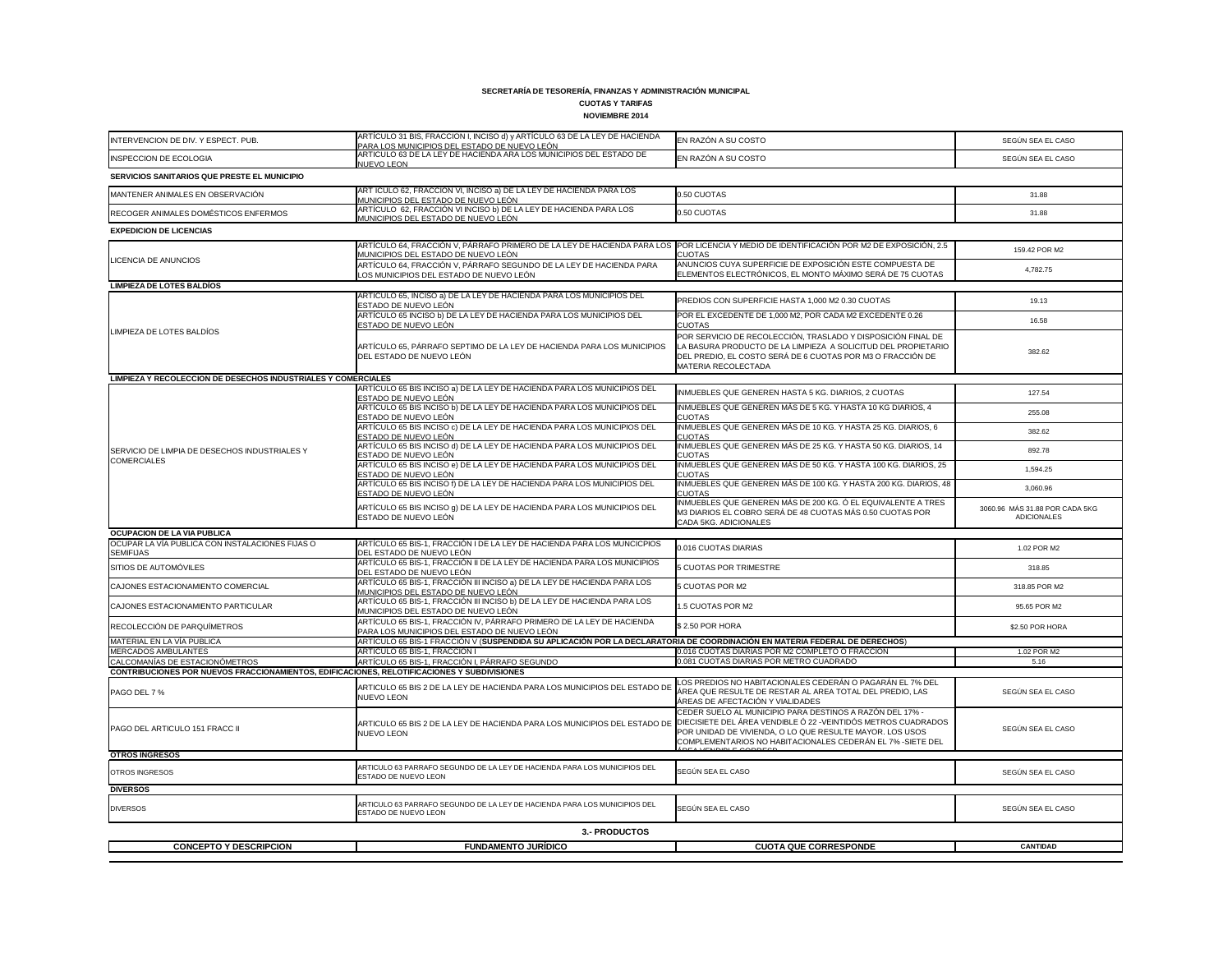# **CUOTAS Y TARIFAS**

| <b>NOVIEMBRE 2014</b>                                                                                                                |                                                                                                                                                                                        |                                                                                                                                                                                                                                                       |                                               |
|--------------------------------------------------------------------------------------------------------------------------------------|----------------------------------------------------------------------------------------------------------------------------------------------------------------------------------------|-------------------------------------------------------------------------------------------------------------------------------------------------------------------------------------------------------------------------------------------------------|-----------------------------------------------|
| INTERVENCION DE DIV. Y ESPECT. PUB.                                                                                                  | ARTÍCULO 31 BIS, FRACCION I, INCISO d) y ARTÍCULO 63 DE LA LEY DE HACIENDA<br><u>PARA LOS MUNICIPIOS DEL ESTADO DE NUEVO LEÓN</u>                                                      | EN RAZÓN A SU COSTO                                                                                                                                                                                                                                   | SEGÚN SEA EL CASO                             |
| <b>INSPECCION DE ECOLOGIA</b>                                                                                                        | ARTICULO 63 DE LA LEY DE HACIENDA ARA LOS MUNICIPIOS DEL ESTADO DE<br>NUEVO LEON                                                                                                       | EN RAZÓN A SU COSTO                                                                                                                                                                                                                                   | SEGÚN SEA EL CASO                             |
| SERVICIOS SANITARIOS QUE PRESTE EL MUNICIPIO                                                                                         |                                                                                                                                                                                        |                                                                                                                                                                                                                                                       |                                               |
| MANTENER ANIMALES EN OBSERVACIÓN                                                                                                     | ART ÍCULO 62, FRACCIÓN VI, INCISO a) DE LA LEY DE HACIENDA PARA LOS<br>MUNICIPIOS DEL ESTADO DE NUEVO LEÓN                                                                             | 0.50 CUOTAS                                                                                                                                                                                                                                           | 31.88                                         |
| RECOGER ANIMALES DOMÉSTICOS ENFERMOS                                                                                                 | ARTÍCULO 62, FRACCIÓN VI INCISO b) DE LA LEY DE HACIENDA PARA LOS<br><u>MUNICIPIOS DEL ESTADO DE NUEVO LEÓNI</u>                                                                       | 0.50 CUOTAS                                                                                                                                                                                                                                           | 31.88                                         |
| <b>EXPEDICION DE LICENCIAS</b>                                                                                                       |                                                                                                                                                                                        |                                                                                                                                                                                                                                                       |                                               |
|                                                                                                                                      | ARTÍCULO 64, FRACCIÓN V, PÁRRAFO PRIMERO DE LA LEY DE HACIENDA PARA LOS POR LICENCIA Y MEDIO DE IDENTIFICACIÓN POR M2 DE EXPOSICIÓN, 2.5<br><u>MUNICIPIOS DEL ESTADO DE NUEVO LEÓN</u> | <b>CUOTAS</b>                                                                                                                                                                                                                                         | 159.42 POR M2                                 |
| <b>LICENCIA DE ANUNCIOS</b>                                                                                                          | ARTÍCULO 64, FRACCIÓN V, PÁRRAFO SEGUNDO DE LA LEY DE HACIENDA PARA<br>LOS MUNICIPIOS DEL ESTADO DE NUEVO LEÓN                                                                         | ANUNCIOS CUYA SUPERFICIE DE EXPOSICIÓN ESTE COMPUESTA DE<br>ELEMENTOS ELECTRÓNICOS, EL MONTO MÁXIMO SERÁ DE 75 CUOTAS                                                                                                                                 | 4,782.75                                      |
| <b>LIMPIEZA DE LOTES BALDÍOS</b>                                                                                                     |                                                                                                                                                                                        |                                                                                                                                                                                                                                                       |                                               |
|                                                                                                                                      | ARTÍCULO 65, INCISO a) DE LA LEY DE HACIENDA PARA LOS MUNICIPIOS DEL<br>ESTADO DE NUEVO LEÓN                                                                                           | PREDIOS CON SUPERFICIE HASTA 1,000 M2 0.30 CUOTAS                                                                                                                                                                                                     | 19.13                                         |
|                                                                                                                                      | ARTÍCULO 65 INCISO b) DE LA LEY DE HACIENDA PARA LOS MUNICIPIOS DEL<br>ESTADO DE NUEVO LEÓN                                                                                            | POR EL EXCEDENTE DE 1,000 M2, POR CADA M2 EXCEDENTE 0.26<br><b>CUOTAS</b>                                                                                                                                                                             | 16.58                                         |
| LIMPIEZA DE LOTES BALDÍOS                                                                                                            | ARTÍCULO 65, PÁRRAFO SEPTIMO DE LA LEY DE HACIENDA PARA LOS MUNICIPIOS<br>DEL ESTADO DE NUEVO LEÓN                                                                                     | POR SERVICIO DE RECOLECCIÓN, TRASLADO Y DISPOSICIÓN FINAL DE<br>LA BASURA PRODUCTO DE LA LIMPIEZA A SOLICITUD DEL PROPIETARIO<br>DEL PREDIO, EL COSTO SERÁ DE 6 CUOTAS POR M3 O FRACCIÓN DE<br>MATERIA RECOLECTADA                                    | 382.62                                        |
| <b>LIMPIEZA Y RECOLECCION DE DESECHOS INDUSTRIALES Y COMERCIALES</b>                                                                 |                                                                                                                                                                                        |                                                                                                                                                                                                                                                       |                                               |
|                                                                                                                                      | ARTÍCULO 65 BIS INCISO a) DE LA LEY DE HACIENDA PARA LOS MUNICIPIOS DEL<br>ESTADO DE NUEVO LEÓN                                                                                        | INMUEBLES QUE GENEREN HASTA 5 KG. DIARIOS, 2 CUOTAS                                                                                                                                                                                                   | 127.54                                        |
|                                                                                                                                      | ARTÍCULO 65 BIS INCISO b) DE LA LEY DE HACIENDA PARA LOS MUNICIPIOS DEL<br>ESTADO DE NUEVO LEÓN                                                                                        | INMUEBLES QUE GENEREN MÁS DE 5 KG. Y HASTA 10 KG DIARIOS, 4<br><b>CUOTAS</b>                                                                                                                                                                          | 255.08                                        |
|                                                                                                                                      | ARTÍCULO 65 BIS INCISO c) DE LA LEY DE HACIENDA PARA LOS MUNICIPIOS DEL<br>ESTADO DE NUEVO LEÓN                                                                                        | INMUEBLES QUE GENEREN MÁS DE 10 KG. Y HASTA 25 KG. DIARIOS, 6<br><b>CUOTAS</b>                                                                                                                                                                        | 382.62                                        |
| SERVICIO DE LIMPIA DE DESECHOS INDUSTRIALES Y<br><b>COMERCIALES</b>                                                                  | ARTÍCULO 65 BIS INCISO d) DE LA LEY DE HACIENDA PARA LOS MUNICIPIOS DEL<br>ESTADO DE NUEVO LEÓN                                                                                        | INMUEBLES QUE GENEREN MÁS DE 25 KG. Y HASTA 50 KG. DIARIOS, 14<br><b>CUOTAS</b>                                                                                                                                                                       | 892.78                                        |
|                                                                                                                                      | ARTÍCULO 65 BIS INCISO e) DE LA LEY DE HACIENDA PARA LOS MUNICIPIOS DEL<br>ESTADO DE NUEVO LEÓN                                                                                        | INMUEBLES QUE GENEREN MÁS DE 50 KG. Y HASTA 100 KG. DIARIOS, 25<br><b>CUOTAS</b>                                                                                                                                                                      | 1,594.25                                      |
|                                                                                                                                      | ARTÍCULO 65 BIS INCISO f) DE LA LEY DE HACIENDA PARA LOS MUNICIPIOS DEL<br>ESTADO DE NUEVO LEÓN                                                                                        | INMUEBLES QUE GENEREN MÁS DE 100 KG. Y HASTA 200 KG. DIARIOS, 48<br><b>CUOTAS</b>                                                                                                                                                                     | 3,060.96                                      |
|                                                                                                                                      | ARTÍCULO 65 BIS INCISO g) DE LA LEY DE HACIENDA PARA LOS MUNICIPIOS DEL<br>ESTADO DE NUEVO LEÓN                                                                                        | INMUEBLES QUE GENEREN MÁS DE 200 KG. Ó EL EQUIVALENTE A TRES<br>M3 DIARIOS EL COBRO SERÁ DE 48 CUOTAS MÁS 0.50 CUOTAS POR<br>CADA 5KG. ADICIONALES                                                                                                    | 3060.96 MÁS 31.88 POR CADA 5KG<br>ADICIONALES |
| <b>OCUPACION DE LA VIA PUBLICA</b>                                                                                                   |                                                                                                                                                                                        |                                                                                                                                                                                                                                                       |                                               |
| OCUPAR LA VÍA PUBLICA CON INSTALACIONES FIJAS O<br><b>SEMIFIJAS</b>                                                                  | ARTÍCULO 65 BIS-1, FRACCIÓN I DE LA LEY DE HACIENDA PARA LOS MUNCICPIOS<br>DEL ESTADO DE NUEVO LEÓN                                                                                    | 0.016 CUOTAS DIARIAS                                                                                                                                                                                                                                  | 1.02 POR M2                                   |
| SITIOS DE AUTOMÓVILES                                                                                                                | ARTÍCULO 65 BIS-1, FRACCIÓN II DE LA LEY DE HACIENDA PARA LOS MUNICIPIOS<br>DEL ESTADO DE NUEVO LEÓN                                                                                   | 5 CUOTAS POR TRIMESTRE                                                                                                                                                                                                                                | 318.85                                        |
| CAJONES ESTACIONAMIENTO COMERCIAL                                                                                                    | ARTÍCULO 65 BIS-1, FRACCIÓN III INCISO a) DE LA LEY DE HACIENDA PARA LOS<br>MUNICIPIOS DEL ESTADO DE NUEVO LEÓN                                                                        | 5 CUOTAS POR M2                                                                                                                                                                                                                                       | 318.85 POR M2                                 |
| CAJONES ESTACIONAMIENTO PARTICULAR                                                                                                   | ARTÍCULO 65 BIS-1, FRACCIÓN III INCISO b) DE LA LEY DE HACIENDA PARA LOS<br>MUNICIPIOS DEL ESTADO DE NUEVO LEÓN                                                                        | 1.5 CUOTAS POR M2                                                                                                                                                                                                                                     | 95.65 POR M2                                  |
| RECOLECCIÓN DE PARQUÍMETROS                                                                                                          | ARTÍCULO 65 BIS-1, FRACCIÓN IV, PÁRRAFO PRIMERO DE LA LEY DE HACIENDA<br>PARA LOS MUNICIPIOS DEL ESTADO DE NUEVO LEÓN                                                                  | \$2.50 POR HORA                                                                                                                                                                                                                                       | \$2.50 POR HORA                               |
| MATERIAL EN LA VÍA PUBLICA                                                                                                           | ARTÍCULO 65 BIS-1 FRACCIÓN V (SUSPENDIDA SU APLICACIÓN POR LA DECLARATORIA DE COORDINACIÓN EN MATERIA FEDERAL DE DERECHOS)                                                             |                                                                                                                                                                                                                                                       |                                               |
| MERCADOS AMBULANTES                                                                                                                  | ARTÍCULO 65 BIS-1, FRACCIÓN I                                                                                                                                                          | 0.016 CUOTAS DIARIAS POR M2 COMPLETO O FRACCION                                                                                                                                                                                                       | 1.02 POR M2                                   |
| CALCOMANÍAS DE ESTACIONÓMETROS<br><b>CONTRIBUCIONES POR NUEVOS FRACCIONAMIENTOS, EDIFICACIONES, RELOTIFICACIONES Y SUBDIVISIONES</b> | ARTÍCULO 65 BIS-1, FRACCIÓN I, PÁRRAFO SEGUNDO                                                                                                                                         | 0.081 CUOTAS DIARIAS POR METRO CUADRADO                                                                                                                                                                                                               | 5.16                                          |
| PAGO DEL 7 %                                                                                                                         | ARTICULO 65 BIS 2 DE LA LEY DE HACIENDA PARA LOS MUNICIPIOS DEL ESTADO DE<br>NUEVO LEON                                                                                                | LOS PREDIOS NO HABITACIONALES CEDERÁN O PAGARÁN EL 7% DEL<br>ÁREA QUE RESULTE DE RESTAR AL AREA TOTAL DEL PREDIO, LAS<br>ÁREAS DE AFECTACIÓN Y VIALIDADES                                                                                             | SEGÚN SEA EL CASO                             |
| <b>PAGO DEL ARTICULO 151 FRACC II</b>                                                                                                | ARTICULO 65 BIS 2 DE LA LEY DE HACIENDA PARA LOS MUNICIPIOS DEL ESTADO DI<br>NUEVO LEON                                                                                                | CEDER SUELO AL MUNICIPIO PARA DESTINOS A RAZÓN DEL 17% -<br>DIECISIETE DEL ÁREA VENDIBLE Ó 22 - VEINTIDÓS METROS CUADRADOS<br>POR UNIDAD DE VIVIENDA, O LO QUE RESULTE MAYOR. LOS USOS<br>COMPLEMENTARIOS NO HABITACIONALES CEDERÁN EL 7% - SIETE DEL | SEGÚN SEA EL CASO                             |
| <b>OTROS INGRESOS</b>                                                                                                                |                                                                                                                                                                                        |                                                                                                                                                                                                                                                       |                                               |
| <b>OTROS INGRESOS</b>                                                                                                                | ARTICULO 63 PARRAFO SEGUNDO DE LA LEY DE HACIENDA PARA LOS MUNICIPIOS DEL<br>ESTADO DE NUEVO LEON                                                                                      | SEGÚN SEA EL CASO                                                                                                                                                                                                                                     | SEGÚN SEA EL CASO                             |
| <b>DIVERSOS</b>                                                                                                                      |                                                                                                                                                                                        |                                                                                                                                                                                                                                                       |                                               |
| <b>DIVERSOS</b>                                                                                                                      | ARTICULO 63 PARRAFO SEGUNDO DE LA LEY DE HACIENDA PARA LOS MUNICIPIOS DEL<br>ESTADO DE NUEVO LEON                                                                                      | SEGÚN SEA EL CASO                                                                                                                                                                                                                                     | SEGÚN SEA EL CASO                             |
|                                                                                                                                      | <b>3.- PRODUCTOS</b>                                                                                                                                                                   |                                                                                                                                                                                                                                                       |                                               |
| <b>CONCEPTO Y DESCRIPCION</b>                                                                                                        | <b>FUNDAMENTO JURÍDICO</b>                                                                                                                                                             | <b>CUOTA QUE CORRESPONDE</b>                                                                                                                                                                                                                          | <b>CANTIDAD</b>                               |

| IUTRUS INGRESUS.              | <b>ESTADO DE NUEVO LEON</b>                                                                              | TSEGUN SEA EL CASO         |
|-------------------------------|----------------------------------------------------------------------------------------------------------|----------------------------|
| <b>DIVERSOS</b>               |                                                                                                          |                            |
| <b>DIVERSOS</b>               | ARTICULO 63 PARRAFO SEGUNDO DE LA LEY DE HACIENDA PARA LOS MUNICIPIOS DEL<br><b>ESTADO DE NUEVO LEON</b> | <b>I</b> SEGUN SEA EL CASO |
|                               | <b>3.- PRODUCTOS</b>                                                                                     |                            |
| <b>CONCEPTO Y DESCRIPCION</b> | <b>FUNDAMENTO JURIDICO</b>                                                                               | <b>CU</b>                  |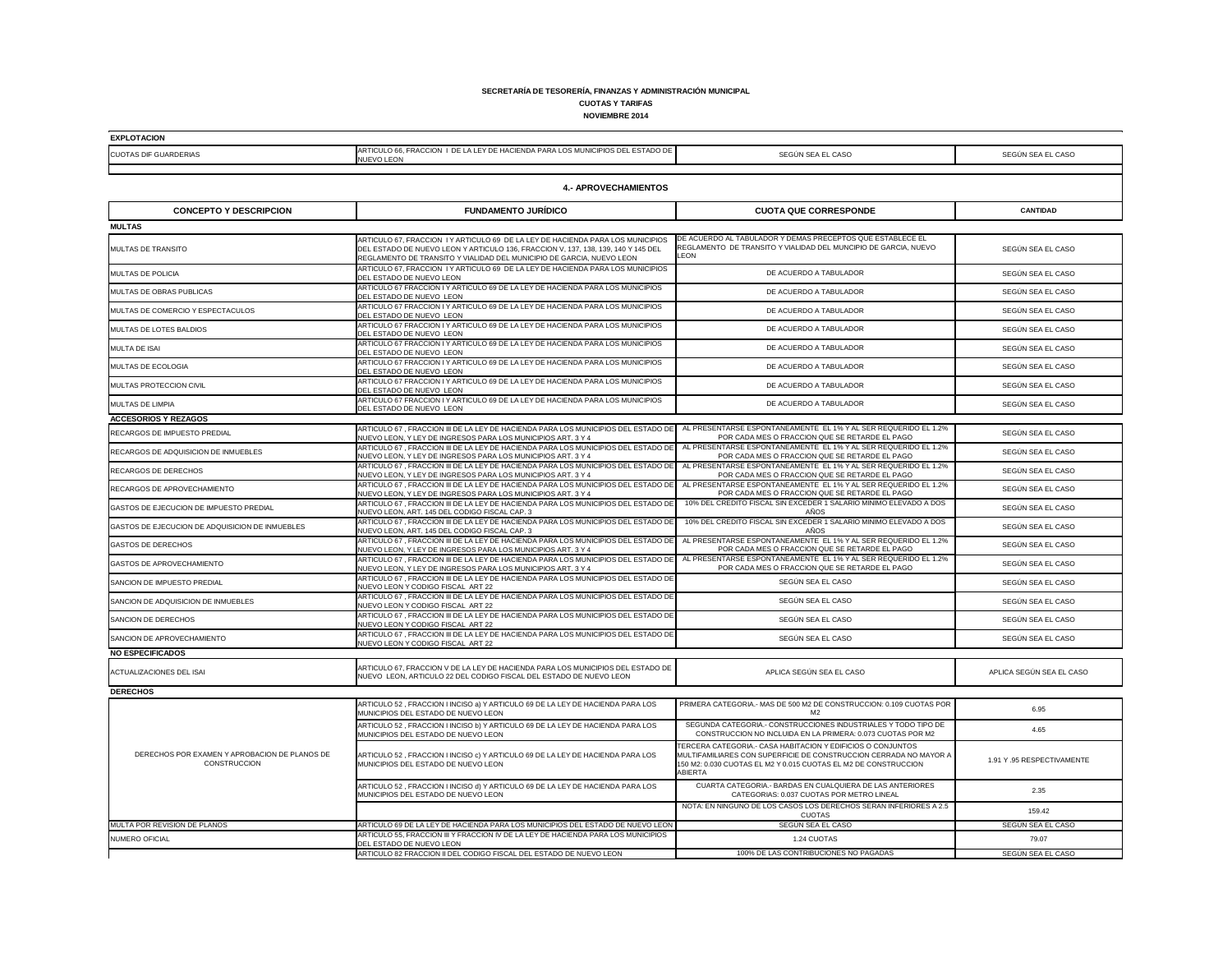**SECRETARÍA DE TESORERÍA, FINANZAS Y ADMINISTRACIÓN MUNICIPAL CUOTAS Y TARIFAS**

**NOVIEMBRE 2014**

Т

| <b>EXPLOTACION</b>           |                                                                                                         |  |
|------------------------------|---------------------------------------------------------------------------------------------------------|--|
| <b>CUOTAS DIF GUARDERIAS</b> | <b>IARTICULO 66, FRACCION I DE LA LEY DE HACIENDA PARA LOS MUNICIPIOS DEL ESTADO DE I</b><br>NUEVO LEON |  |
|                              |                                                                                                         |  |

| <b>CUOTAS DIF GUARDERIAS</b>                                         | ANTIQUEO 00, I INNOCION TI DE EA EET DE HAOIENDA FANA EOS MONIGII 103 DEE ESTADO DE<br><b>NUEVO LEON</b>                                                                                                                                      | SEGÚN SEA EL CASO                                                                                                                                                                                                     | SEGÚN SEA EL CASO         |  |
|----------------------------------------------------------------------|-----------------------------------------------------------------------------------------------------------------------------------------------------------------------------------------------------------------------------------------------|-----------------------------------------------------------------------------------------------------------------------------------------------------------------------------------------------------------------------|---------------------------|--|
|                                                                      |                                                                                                                                                                                                                                               |                                                                                                                                                                                                                       |                           |  |
| <b>4.- APROVECHAMIENTOS</b>                                          |                                                                                                                                                                                                                                               |                                                                                                                                                                                                                       |                           |  |
| <b>CONCEPTO Y DESCRIPCION</b>                                        | <b>FUNDAMENTO JURÍDICO</b>                                                                                                                                                                                                                    | <b>CUOTA QUE CORRESPONDE</b>                                                                                                                                                                                          | <b>CANTIDAD</b>           |  |
| <b>MULTAS</b>                                                        |                                                                                                                                                                                                                                               |                                                                                                                                                                                                                       |                           |  |
| <b>MULTAS DE TRANSITO</b>                                            | ARTICULO 67, FRACCION I Y ARTICULO 69 DE LA LEY DE HACIENDA PARA LOS MUNICIPIOS<br>DEL ESTADO DE NUEVO LEON Y ARTICULO 136, FRACCION V, 137, 138, 139, 140 Y 145 DEL<br>REGLAMENTO DE TRANSITO Y VIALIDAD DEL MUNICIPIO DE GARCIA, NUEVO LEON | DE ACUERDO AL TABULADOR Y DEMAS PRECEPTOS QUE ESTABLECE EL<br>REGLAMENTO DE TRANSITO Y VIALIDAD DEL MUNCIPIO DE GARCIA, NUEVO<br><b>LEON</b>                                                                          | SEGÚN SEA EL CASO         |  |
| MULTAS DE POLICIA                                                    | ARTICULO 67, FRACCION I Y ARTICULO 69 DE LA LEY DE HACIENDA PARA LOS MUNICIPIOS<br>DEL ESTADO DE NUEVO LEON                                                                                                                                   | DE ACUERDO A TABULADOR                                                                                                                                                                                                | SEGÚN SEA EL CASO         |  |
| MULTAS DE OBRAS PUBLICAS                                             | ARTICULO 67 FRACCION I Y ARTICULO 69 DE LA LEY DE HACIENDA PARA LOS MUNICIPIOS<br>DEL ESTADO DE NUEVO LEON                                                                                                                                    | DE ACUERDO A TABULADOR                                                                                                                                                                                                | SEGÚN SEA EL CASO         |  |
| MULTAS DE COMERCIO Y ESPECTACULOS                                    | ARTICULO 67 FRACCION I Y ARTICULO 69 DE LA LEY DE HACIENDA PARA LOS MUNICIPIOS<br>DEL ESTADO DE NUEVO LEON                                                                                                                                    | DE ACUERDO A TABULADOR                                                                                                                                                                                                | SEGÚN SEA EL CASO         |  |
| <b>MULTAS DE LOTES BALDIOS</b>                                       | ARTICULO 67 FRACCION I Y ARTICULO 69 DE LA LEY DE HACIENDA PARA LOS MUNICIPIOS<br>DEL ESTADO DE NUEVO LEON                                                                                                                                    | DE ACUERDO A TABULADOR                                                                                                                                                                                                | SEGÚN SEA EL CASO         |  |
| <b>MULTA DE ISAI</b>                                                 | ARTICULO 67 FRACCION I Y ARTICULO 69 DE LA LEY DE HACIENDA PARA LOS MUNICIPIOS<br>DEL ESTADO DE NUEVO LEON                                                                                                                                    | DE ACUERDO A TABULADOR                                                                                                                                                                                                | SEGÚN SEA EL CASO         |  |
| MULTAS DE ECOLOGIA                                                   | ARTICULO 67 FRACCION I Y ARTICULO 69 DE LA LEY DE HACIENDA PARA LOS MUNICIPIOS<br>DEL ESTADO DE NUEVO LEON                                                                                                                                    | DE ACUERDO A TABULADOR                                                                                                                                                                                                | SEGÚN SEA EL CASO         |  |
| MULTAS PROTECCION CIVIL                                              | ARTICULO 67 FRACCION I Y ARTICULO 69 DE LA LEY DE HACIENDA PARA LOS MUNICIPIOS<br>DEL ESTADO DE NUEVO LEON                                                                                                                                    | DE ACUERDO A TABULADOR                                                                                                                                                                                                | SEGÚN SEA EL CASO         |  |
| MULTAS DE LIMPIA                                                     | ARTICULO 67 FRACCION I Y ARTICULO 69 DE LA LEY DE HACIENDA PARA LOS MUNICIPIOS<br>DEL ESTADO DE NUEVO LEON                                                                                                                                    | DE ACUERDO A TABULADOR                                                                                                                                                                                                | SEGÚN SEA EL CASO         |  |
| <b>ACCESORIOS Y REZAGOS</b>                                          |                                                                                                                                                                                                                                               |                                                                                                                                                                                                                       |                           |  |
| <b>RECARGOS DE IMPUESTO PREDIAL</b>                                  | ARTICULO 67, FRACCION III DE LA LEY DE HACIENDA PARA LOS MUNICIPIOS DEL ESTADO DE<br>NUEVO LEON, Y LEY DE INGRESOS PARA LOS MUNICIPIOS ART. 3 Y 4                                                                                             | AL PRESENTARSE ESPONTANEAMENTE EL 1% Y AL SER REQUERIDO EL 1.2%<br>POR CADA MES O FRACCION QUE SE RETARDE EL PAGO                                                                                                     | SEGÚN SEA EL CASO         |  |
| <b>RECARGOS DE ADQUISICION DE INMUEBLES</b>                          | ARTICULO 67, FRACCION III DE LA LEY DE HACIENDA PARA LOS MUNICIPIOS DEL ESTADO DE<br>NUEVO LEON, Y LEY DE INGRESOS PARA LOS MUNICIPIOS ART. 3 Y 4                                                                                             | AL PRESENTARSE ESPONTANEAMENTE EL 1% Y AL SER REQUERIDO EL 1.2%<br>POR CADA MES O FRACCION QUE SE RETARDE EL PAGO                                                                                                     | SEGÚN SEA EL CASO         |  |
| <b>RECARGOS DE DERECHOS</b>                                          | ARTICULO 67, FRACCION III DE LA LEY DE HACIENDA PARA LOS MUNICIPIOS DEL ESTADO DE<br>NUEVO LEON, Y LEY DE INGRESOS PARA LOS MUNICIPIOS ART. 3 Y 4                                                                                             | AL PRESENTARSE ESPONTANEAMENTE EL 1% Y AL SER REQUERIDO EL 1.2%<br>POR CADA MES O FRACCION QUE SE RETARDE EL PAGO                                                                                                     | SEGÚN SEA EL CASO         |  |
| RECARGOS DE APROVECHAMIENTO                                          | ARTICULO 67, FRACCION III DE LA LEY DE HACIENDA PARA LOS MUNICIPIOS DEL ESTADO DE<br>NUEVO LEON, Y LEY DE INGRESOS PARA LOS MUNICIPIOS ART. 3 Y 4                                                                                             | AL PRESENTARSE ESPONTANEAMENTE EL 1% Y AL SER REQUERIDO EL 1.2%<br>POR CADA MES O FRACCION QUE SE RETARDE EL PAGO                                                                                                     | SEGÚN SEA EL CASO         |  |
| GASTOS DE EJECUCION DE IMPUESTO PREDIAL                              | ARTICULO 67, FRACCION III DE LA LEY DE HACIENDA PARA LOS MUNICIPIOS DEL ESTADO DE<br>NUEVO LEON, ART. 145 DEL CODIGO FISCAL CAP. 3                                                                                                            | 10% DEL CREDITO FISCAL SIN EXCEDER 1 SALARIO MINIMO ELEVADO A DOS<br>AÑOS                                                                                                                                             | SEGÚN SEA EL CASO         |  |
| GASTOS DE EJECUCION DE ADQUISICION DE INMUEBLES                      | ARTICULO 67, FRACCION III DE LA LEY DE HACIENDA PARA LOS MUNICIPIOS DEL ESTADO DE<br>NUEVO LEON, ART. 145 DEL CODIGO FISCAL CAP. 3                                                                                                            | 10% DEL CREDITO FISCAL SIN EXCEDER 1 SALARIO MINIMO ELEVADO A DOS<br>AÑOS                                                                                                                                             | SEGÚN SEA EL CASO         |  |
| <b>GASTOS DE DERECHOS</b>                                            | ARTICULO 67, FRACCION III DE LA LEY DE HACIENDA PARA LOS MUNICIPIOS DEL ESTADO DE<br>NUEVO LEON, Y LEY DE INGRESOS PARA LOS MUNICIPIOS ART. 3 Y 4                                                                                             | AL PRESENTARSE ESPONTANEAMENTE EL 1% Y AL SER REQUERIDO EL 1.2%<br>POR CADA MES O FRACCION QUE SE RETARDE EL PAGO                                                                                                     | SEGÚN SEA EL CASO         |  |
| GASTOS DE APROVECHAMIENTO                                            | ARTICULO 67, FRACCION III DE LA LEY DE HACIENDA PARA LOS MUNICIPIOS DEL ESTADO DE<br>NUEVO LEON, Y LEY DE INGRESOS PARA LOS MUNICIPIOS ART. 3 Y 4                                                                                             | AL PRESENTARSE ESPONTANEAMENTE EL 1% Y AL SER REQUERIDO EL 1.2%<br>POR CADA MES O FRACCION QUE SE RETARDE EL PAGO                                                                                                     | SEGÚN SEA EL CASO         |  |
| SANCION DE IMPUESTO PREDIAL                                          | ARTICULO 67, FRACCION III DE LA LEY DE HACIENDA PARA LOS MUNICIPIOS DEL ESTADO DE<br>NUEVO LEON Y CODIGO FISCAL ART 22                                                                                                                        | SEGÚN SEA EL CASO                                                                                                                                                                                                     | SEGÚN SEA EL CASO         |  |
| SANCION DE ADQUISICION DE INMUEBLES                                  | ARTICULO 67, FRACCION III DE LA LEY DE HACIENDA PARA LOS MUNICIPIOS DEL ESTADO DE<br>NUEVO LEON Y CODIGO FISCAL ART 22                                                                                                                        | SEGÚN SEA EL CASO                                                                                                                                                                                                     | SEGÚN SEA EL CASO         |  |
| SANCION DE DERECHOS                                                  | ARTICULO 67, FRACCION III DE LA LEY DE HACIENDA PARA LOS MUNICIPIOS DEL ESTADO DE<br>NUEVO LEON Y CODIGO FISCAL ART 22                                                                                                                        | SEGÚN SEA EL CASO                                                                                                                                                                                                     | SEGÚN SEA EL CASO         |  |
| SANCION DE APROVECHAMIENTO                                           | ARTICULO 67, FRACCION III DE LA LEY DE HACIENDA PARA LOS MUNICIPIOS DEL ESTADO DE<br>NUEVO LEON Y CODIGO FISCAL ART 22                                                                                                                        | SEGÚN SEA EL CASO                                                                                                                                                                                                     | SEGÚN SEA EL CASO         |  |
| <b>NO ESPECIFICADOS</b>                                              |                                                                                                                                                                                                                                               |                                                                                                                                                                                                                       |                           |  |
| <b>ACTUALIZACIONES DEL ISAI</b>                                      | ARTICULO 67, FRACCION V DE LA LEY DE HACIENDA PARA LOS MUNICIPIOS DEL ESTADO DE<br>NUEVO LEON, ARTICULO 22 DEL CODIGO FISCAL DEL ESTADO DE NUEVO LEON                                                                                         | APLICA SEGÚN SEA EL CASO                                                                                                                                                                                              | APLICA SEGÚN SEA EL CASO  |  |
| <b>DERECHOS</b>                                                      |                                                                                                                                                                                                                                               |                                                                                                                                                                                                                       |                           |  |
|                                                                      | ARTICULO 52, FRACCION I INCISO a) Y ARTICULO 69 DE LA LEY DE HACIENDA PARA LOS<br>MUNICIPIOS DEL ESTADO DE NUEVO LEON                                                                                                                         | PRIMERA CATEGORIA.- MAS DE 500 M2 DE CONSTRUCCION: 0.109 CUOTAS POR<br>M2                                                                                                                                             | 6.95                      |  |
| DERECHOS POR EXAMEN Y APROBACION DE PLANOS DE<br><b>CONSTRUCCION</b> | ARTICULO 52, FRACCION I INCISO b) Y ARTICULO 69 DE LA LEY DE HACIENDA PARA LOS<br>MUNICIPIOS DEL ESTADO DE NUEVO LEON                                                                                                                         | SEGUNDA CATEGORIA.- CONSTRUCCIONES INDUSTRIALES Y TODO TIPO DE<br>CONSTRUCCION NO INCLUIDA EN LA PRIMERA: 0.073 CUOTAS POR M2                                                                                         | 4.65                      |  |
|                                                                      | ARTICULO 52, FRACCION I INCISO c) Y ARTICULO 69 DE LA LEY DE HACIENDA PARA LOS<br>MUNICIPIOS DEL ESTADO DE NUEVO LEON                                                                                                                         | TERCERA CATEGORIA.- CASA HABITACION Y EDIFICIOS O CONJUNTOS<br>MULTIFAMILIARES CON SUPERFICIE DE CONSTRUCCION CERRADA NO MAYOR A<br>150 M2: 0.030 CUOTAS EL M2 Y 0.015 CUOTAS EL M2 DE CONSTRUCCION<br><b>ABIERTA</b> | 1.91 Y.95 RESPECTIVAMENTE |  |
|                                                                      | ARTICULO 52 , FRACCION I INCISO d) Y ARTICULO 69 DE LA LEY DE HACIENDA PARA LOS<br>MUNICIPIOS DEL ESTADO DE NUEVO LEON                                                                                                                        | CUARTA CATEGORIA.- BARDAS EN CUALQUIERA DE LAS ANTERIORES<br>CATEGORIAS: 0.037 CUOTAS POR METRO LINEAL                                                                                                                | 2.35                      |  |
|                                                                      |                                                                                                                                                                                                                                               | NOTA: EN NINGUNO DE LOS CASOS LOS DERECHOS SERAN INFERIORES A 2.5<br><b>CUOTAS</b>                                                                                                                                    | 159.42                    |  |
| MULTA POR REVISION DE PLANOS                                         | ARTICULO 69 DE LA LEY DE HACIENDA PARA LOS MUNICIPIOS DEL ESTADO DE NUEVO LEON                                                                                                                                                                | SEGÚN SEA EL CASO                                                                                                                                                                                                     | SEGÚN SEA EL CASO         |  |
| NUMERO OFICIAL                                                       | ARTICULO 55, FRACCION III Y FRACCION IV DE LA LEY DE HACIENDA PARA LOS MUNICIPIOS<br>DEL ESTADO DE NUEVO LEON                                                                                                                                 | 1.24 CUOTAS                                                                                                                                                                                                           | 79.07                     |  |
|                                                                      | ARTICULO 82 FRACCION II DEL CODIGO FISCAL DEL ESTADO DE NUEVO LEON                                                                                                                                                                            | 100% DE LAS CONTRIBUCIONES NO PAGADAS                                                                                                                                                                                 | SEGÚN SEA EL CASO         |  |